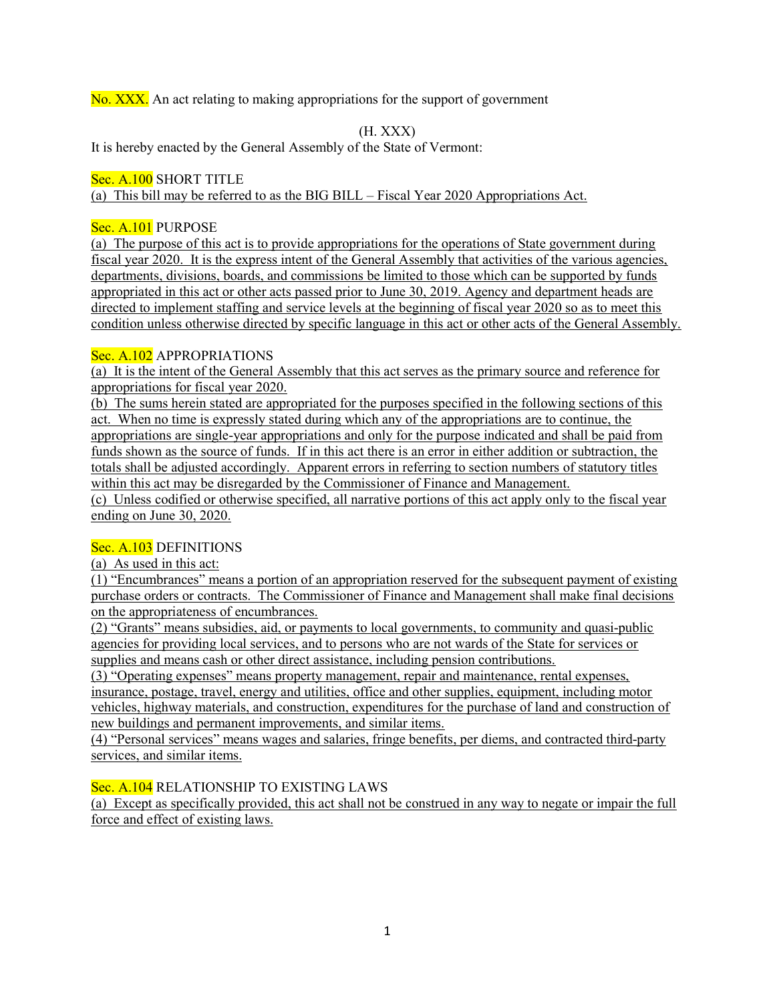No. XXX. An act relating to making appropriations for the support of government

(H. XXX)

It is hereby enacted by the General Assembly of the State of Vermont:

# Sec. A.100 SHORT TITLE

(a) This bill may be referred to as the BIG BILL – Fiscal Year 2020 Appropriations Act.

## Sec. A.101 PURPOSE

(a) The purpose of this act is to provide appropriations for the operations of State government during fiscal year 2020. It is the express intent of the General Assembly that activities of the various agencies, departments, divisions, boards, and commissions be limited to those which can be supported by funds appropriated in this act or other acts passed prior to June 30, 2019. Agency and department heads are directed to implement staffing and service levels at the beginning of fiscal year 2020 so as to meet this condition unless otherwise directed by specific language in this act or other acts of the General Assembly.

## Sec. A.102 APPROPRIATIONS

(a) It is the intent of the General Assembly that this act serves as the primary source and reference for appropriations for fiscal year 2020.

(b) The sums herein stated are appropriated for the purposes specified in the following sections of this act. When no time is expressly stated during which any of the appropriations are to continue, the appropriations are single-year appropriations and only for the purpose indicated and shall be paid from funds shown as the source of funds. If in this act there is an error in either addition or subtraction, the totals shall be adjusted accordingly. Apparent errors in referring to section numbers of statutory titles within this act may be disregarded by the Commissioner of Finance and Management. (c) Unless codified or otherwise specified, all narrative portions of this act apply only to the fiscal year

ending on June 30, 2020.

## Sec. A.103 DEFINITIONS

(a) As used in this act:

(1) "Encumbrances" means a portion of an appropriation reserved for the subsequent payment of existing purchase orders or contracts. The Commissioner of Finance and Management shall make final decisions on the appropriateness of encumbrances.

(2) "Grants" means subsidies, aid, or payments to local governments, to community and quasi-public agencies for providing local services, and to persons who are not wards of the State for services or supplies and means cash or other direct assistance, including pension contributions.

(3) "Operating expenses" means property management, repair and maintenance, rental expenses, insurance, postage, travel, energy and utilities, office and other supplies, equipment, including motor vehicles, highway materials, and construction, expenditures for the purchase of land and construction of new buildings and permanent improvements, and similar items.

(4) "Personal services" means wages and salaries, fringe benefits, per diems, and contracted third-party services, and similar items.

# Sec. A.104 RELATIONSHIP TO EXISTING LAWS

(a) Except as specifically provided, this act shall not be construed in any way to negate or impair the full force and effect of existing laws.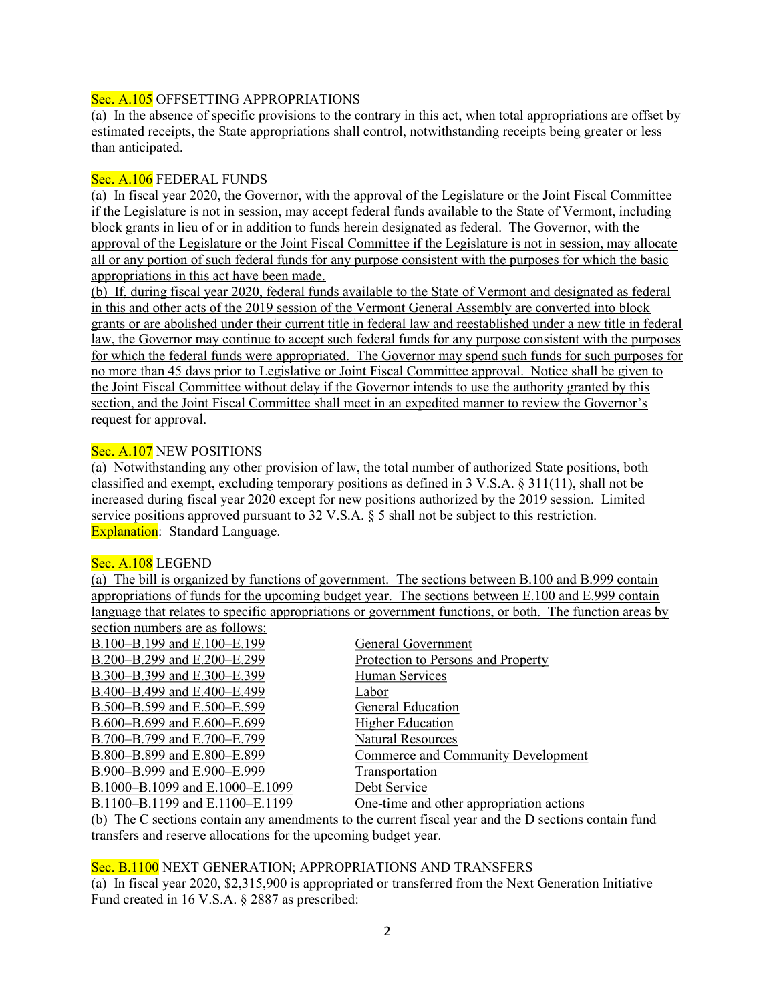## Sec. A.105 OFFSETTING APPROPRIATIONS

(a) In the absence of specific provisions to the contrary in this act, when total appropriations are offset by estimated receipts, the State appropriations shall control, notwithstanding receipts being greater or less than anticipated.

#### Sec. A.106 FEDERAL FUNDS

(a) In fiscal year 2020, the Governor, with the approval of the Legislature or the Joint Fiscal Committee if the Legislature is not in session, may accept federal funds available to the State of Vermont, including block grants in lieu of or in addition to funds herein designated as federal. The Governor, with the approval of the Legislature or the Joint Fiscal Committee if the Legislature is not in session, may allocate all or any portion of such federal funds for any purpose consistent with the purposes for which the basic appropriations in this act have been made.

(b) If, during fiscal year 2020, federal funds available to the State of Vermont and designated as federal in this and other acts of the 2019 session of the Vermont General Assembly are converted into block grants or are abolished under their current title in federal law and reestablished under a new title in federal law, the Governor may continue to accept such federal funds for any purpose consistent with the purposes for which the federal funds were appropriated. The Governor may spend such funds for such purposes for no more than 45 days prior to Legislative or Joint Fiscal Committee approval. Notice shall be given to the Joint Fiscal Committee without delay if the Governor intends to use the authority granted by this section, and the Joint Fiscal Committee shall meet in an expedited manner to review the Governor's request for approval.

## Sec. A.107 NEW POSITIONS

(a) Notwithstanding any other provision of law, the total number of authorized State positions, both classified and exempt, excluding temporary positions as defined in 3 V.S.A. § 311(11), shall not be increased during fiscal year 2020 except for new positions authorized by the 2019 session. Limited service positions approved pursuant to 32 V.S.A. § 5 shall not be subject to this restriction. Explanation: Standard Language.

## Sec. A.108 LEGEND

(a) The bill is organized by functions of government. The sections between B.100 and B.999 contain appropriations of funds for the upcoming budget year. The sections between E.100 and E.999 contain language that relates to specific appropriations or government functions, or both. The function areas by section numbers are as follows:

| $\sim$ . The distribution of $\sim$ 10110 mp.                                                        |                                          |  |  |
|------------------------------------------------------------------------------------------------------|------------------------------------------|--|--|
| B.100-B.199 and E.100-E.199                                                                          | General Government                       |  |  |
| B.200-B.299 and E.200-E.299                                                                          | Protection to Persons and Property       |  |  |
| B.300-B.399 and E.300-E.399                                                                          | Human Services                           |  |  |
| B.400-B.499 and E.400-E.499                                                                          | Labor                                    |  |  |
| B.500–B.599 and E.500–E.599                                                                          | General Education                        |  |  |
| B.600-B.699 and E.600-E.699                                                                          | <b>Higher Education</b>                  |  |  |
| B.700-B.799 and E.700-E.799                                                                          | <b>Natural Resources</b>                 |  |  |
| B.800-B.899 and E.800-E.899                                                                          | Commerce and Community Development       |  |  |
| B.900-B.999 and E.900-E.999                                                                          | Transportation                           |  |  |
| B.1000-B.1099 and E.1000-E.1099                                                                      | Debt Service                             |  |  |
| B.1100–B.1199 and E.1100–E.1199                                                                      | One-time and other appropriation actions |  |  |
| (b) The C sections contain any amendments to the current fiscal year and the D sections contain fund |                                          |  |  |
| transfers and reserve allocations for the upcoming budget year.                                      |                                          |  |  |

Sec. B.1100 NEXT GENERATION; APPROPRIATIONS AND TRANSFERS (a) In fiscal year 2020, \$2,315,900 is appropriated or transferred from the Next Generation Initiative Fund created in 16 V.S.A. § 2887 as prescribed: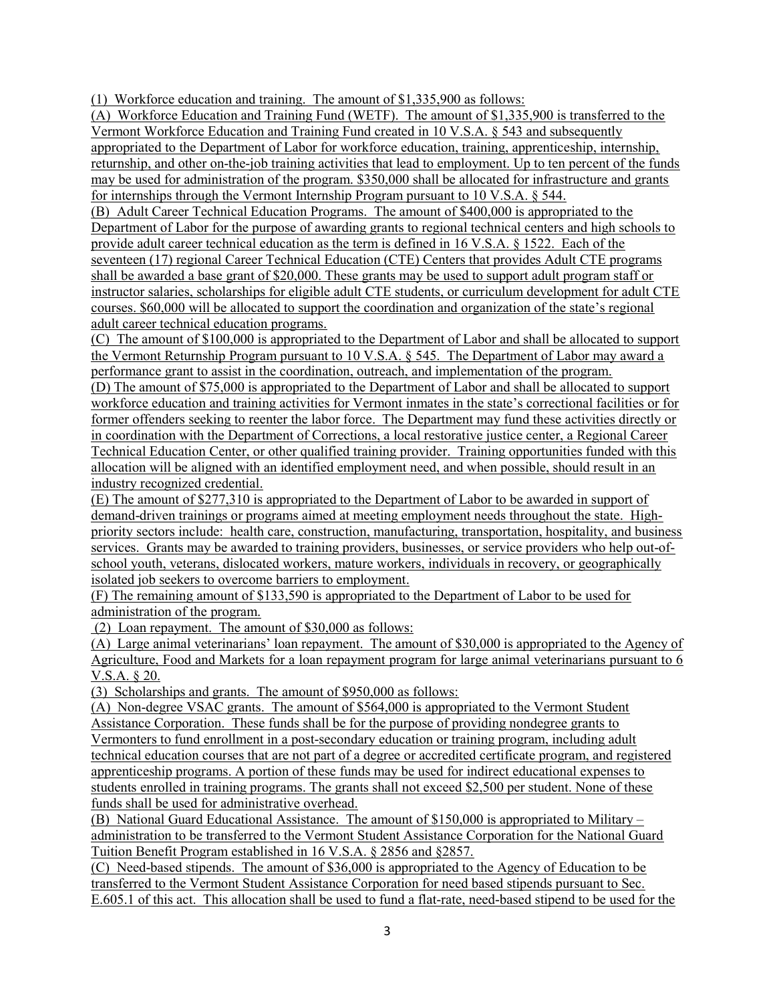(1) Workforce education and training. The amount of \$1,335,900 as follows:

(A) Workforce Education and Training Fund (WETF). The amount of \$1,335,900 is transferred to the Vermont Workforce Education and Training Fund created in 10 V.S.A. § 543 and subsequently appropriated to the Department of Labor for workforce education, training, apprenticeship, internship, returnship, and other on-the-job training activities that lead to employment. Up to ten percent of the funds may be used for administration of the program. \$350,000 shall be allocated for infrastructure and grants for internships through the Vermont Internship Program pursuant to 10 V.S.A. § 544.

(B) Adult Career Technical Education Programs. The amount of \$400,000 is appropriated to the Department of Labor for the purpose of awarding grants to regional technical centers and high schools to provide adult career technical education as the term is defined in 16 V.S.A. § 1522. Each of the seventeen (17) regional Career Technical Education (CTE) Centers that provides Adult CTE programs shall be awarded a base grant of \$20,000. These grants may be used to support adult program staff or instructor salaries, scholarships for eligible adult CTE students, or curriculum development for adult CTE courses. \$60,000 will be allocated to support the coordination and organization of the state's regional adult career technical education programs.

(C) The amount of \$100,000 is appropriated to the Department of Labor and shall be allocated to support the Vermont Returnship Program pursuant to 10 V.S.A. § 545. The Department of Labor may award a performance grant to assist in the coordination, outreach, and implementation of the program.

(D) The amount of \$75,000 is appropriated to the Department of Labor and shall be allocated to support workforce education and training activities for Vermont inmates in the state's correctional facilities or for former offenders seeking to reenter the labor force. The Department may fund these activities directly or in coordination with the Department of Corrections, a local restorative justice center, a Regional Career Technical Education Center, or other qualified training provider. Training opportunities funded with this allocation will be aligned with an identified employment need, and when possible, should result in an industry recognized credential.

(E) The amount of \$277,310 is appropriated to the Department of Labor to be awarded in support of demand-driven trainings or programs aimed at meeting employment needs throughout the state. Highpriority sectors include: health care, construction, manufacturing, transportation, hospitality, and business services. Grants may be awarded to training providers, businesses, or service providers who help out-ofschool youth, veterans, dislocated workers, mature workers, individuals in recovery, or geographically isolated job seekers to overcome barriers to employment.

(F) The remaining amount of \$133,590 is appropriated to the Department of Labor to be used for administration of the program.

(2) Loan repayment. The amount of \$30,000 as follows:

(A) Large animal veterinarians' loan repayment. The amount of \$30,000 is appropriated to the Agency of Agriculture, Food and Markets for a loan repayment program for large animal veterinarians pursuant to 6 V.S.A. § 20.

(3) Scholarships and grants. The amount of \$950,000 as follows:

(A) Non-degree VSAC grants. The amount of \$564,000 is appropriated to the Vermont Student Assistance Corporation. These funds shall be for the purpose of providing nondegree grants to Vermonters to fund enrollment in a post-secondary education or training program, including adult technical education courses that are not part of a degree or accredited certificate program, and registered apprenticeship programs. A portion of these funds may be used for indirect educational expenses to students enrolled in training programs. The grants shall not exceed \$2,500 per student. None of these funds shall be used for administrative overhead.

(B) National Guard Educational Assistance. The amount of \$150,000 is appropriated to Military – administration to be transferred to the Vermont Student Assistance Corporation for the National Guard Tuition Benefit Program established in 16 V.S.A. § 2856 and §2857.

(C) Need-based stipends. The amount of \$36,000 is appropriated to the Agency of Education to be transferred to the Vermont Student Assistance Corporation for need based stipends pursuant to Sec. E.605.1 of this act. This allocation shall be used to fund a flat-rate, need-based stipend to be used for the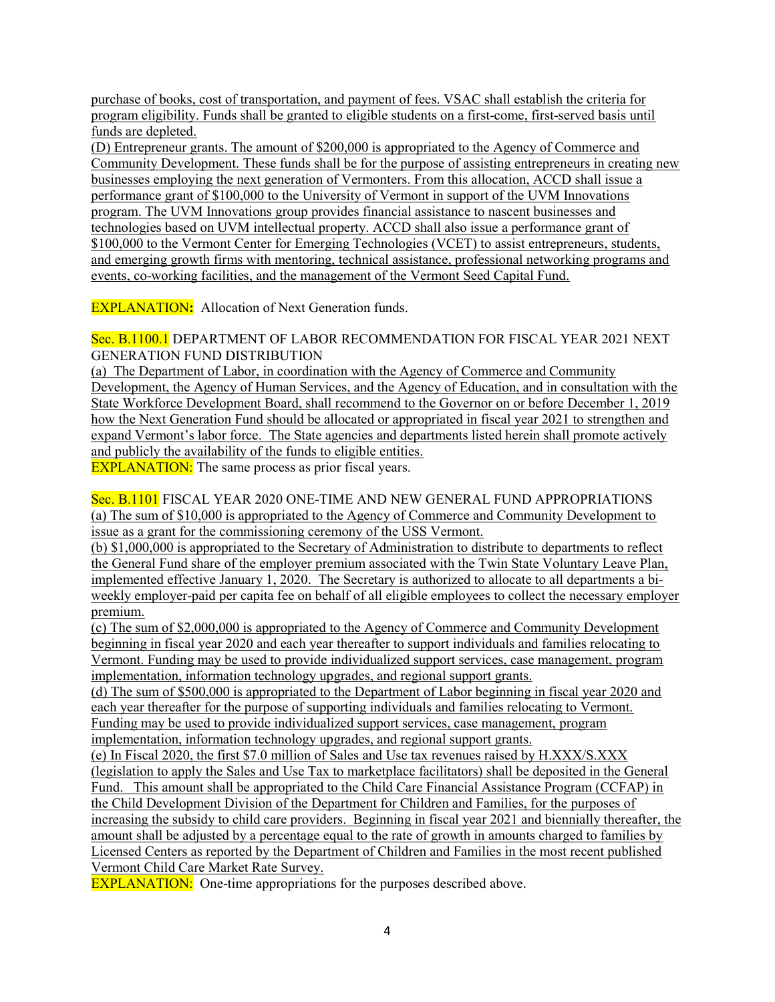purchase of books, cost of transportation, and payment of fees. VSAC shall establish the criteria for program eligibility. Funds shall be granted to eligible students on a first-come, first-served basis until funds are depleted.

(D) Entrepreneur grants. The amount of \$200,000 is appropriated to the Agency of Commerce and Community Development. These funds shall be for the purpose of assisting entrepreneurs in creating new businesses employing the next generation of Vermonters. From this allocation, ACCD shall issue a performance grant of \$100,000 to the University of Vermont in support of the UVM Innovations program. The UVM Innovations group provides financial assistance to nascent businesses and technologies based on UVM intellectual property. ACCD shall also issue a performance grant of \$100,000 to the Vermont Center for Emerging Technologies (VCET) to assist entrepreneurs, students, and emerging growth firms with mentoring, technical assistance, professional networking programs and events, co-working facilities, and the management of the Vermont Seed Capital Fund.

**EXPLANATION:** Allocation of Next Generation funds.

Sec. B.1100.1 DEPARTMENT OF LABOR RECOMMENDATION FOR FISCAL YEAR 2021 NEXT GENERATION FUND DISTRIBUTION

(a) The Department of Labor, in coordination with the Agency of Commerce and Community Development, the Agency of Human Services, and the Agency of Education, and in consultation with the State Workforce Development Board, shall recommend to the Governor on or before December 1, 2019 how the Next Generation Fund should be allocated or appropriated in fiscal year 2021 to strengthen and expand Vermont's labor force. The State agencies and departments listed herein shall promote actively and publicly the availability of the funds to eligible entities.

**EXPLANATION:** The same process as prior fiscal years.

Sec. B.1101 FISCAL YEAR 2020 ONE-TIME AND NEW GENERAL FUND APPROPRIATIONS (a) The sum of \$10,000 is appropriated to the Agency of Commerce and Community Development to issue as a grant for the commissioning ceremony of the USS Vermont.

(b) \$1,000,000 is appropriated to the Secretary of Administration to distribute to departments to reflect the General Fund share of the employer premium associated with the Twin State Voluntary Leave Plan, implemented effective January 1, 2020. The Secretary is authorized to allocate to all departments a biweekly employer-paid per capita fee on behalf of all eligible employees to collect the necessary employer premium.

(c) The sum of \$2,000,000 is appropriated to the Agency of Commerce and Community Development beginning in fiscal year 2020 and each year thereafter to support individuals and families relocating to Vermont. Funding may be used to provide individualized support services, case management, program implementation, information technology upgrades, and regional support grants.

(d) The sum of \$500,000 is appropriated to the Department of Labor beginning in fiscal year 2020 and each year thereafter for the purpose of supporting individuals and families relocating to Vermont. Funding may be used to provide individualized support services, case management, program implementation, information technology upgrades, and regional support grants.

(e) In Fiscal 2020, the first \$7.0 million of Sales and Use tax revenues raised by H.XXX/S.XXX (legislation to apply the Sales and Use Tax to marketplace facilitators) shall be deposited in the General Fund. This amount shall be appropriated to the Child Care Financial Assistance Program (CCFAP) in the Child Development Division of the Department for Children and Families, for the purposes of increasing the subsidy to child care providers. Beginning in fiscal year 2021 and biennially thereafter, the amount shall be adjusted by a percentage equal to the rate of growth in amounts charged to families by Licensed Centers as reported by the Department of Children and Families in the most recent published Vermont Child Care Market Rate Survey.

**EXPLANATION:** One-time appropriations for the purposes described above.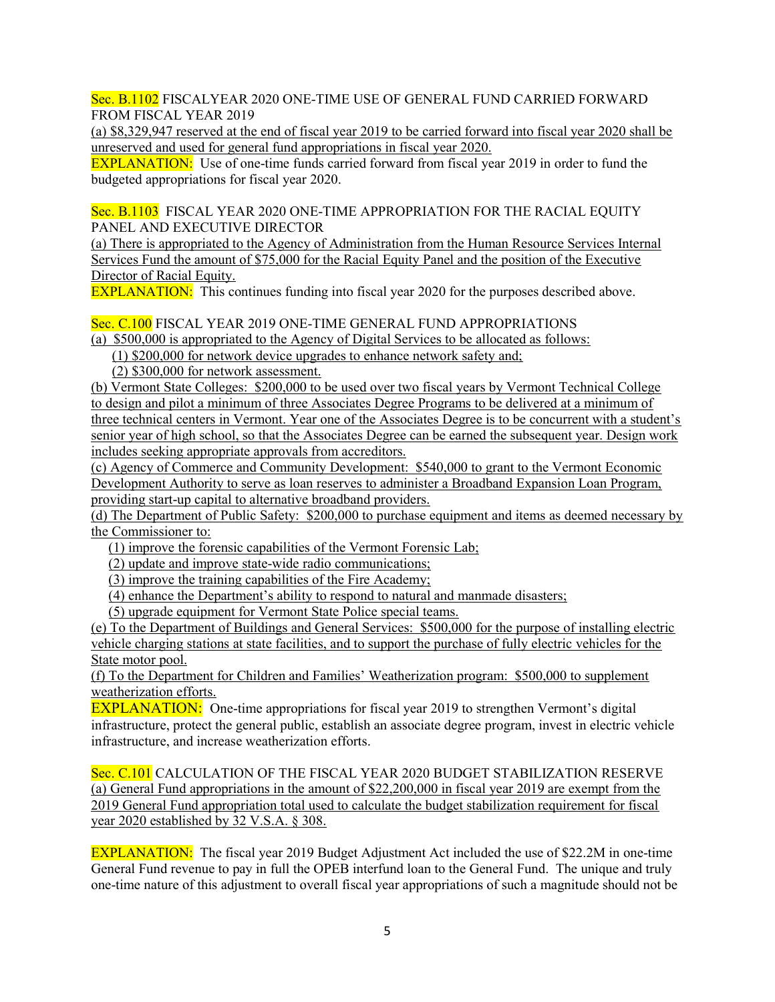Sec. B.1102 FISCALYEAR 2020 ONE-TIME USE OF GENERAL FUND CARRIED FORWARD FROM FISCAL YEAR 2019

(a) \$8,329,947 reserved at the end of fiscal year 2019 to be carried forward into fiscal year 2020 shall be unreserved and used for general fund appropriations in fiscal year 2020.

**EXPLANATION:** Use of one-time funds carried forward from fiscal year 2019 in order to fund the budgeted appropriations for fiscal year 2020.

Sec. B.1103 FISCAL YEAR 2020 ONE-TIME APPROPRIATION FOR THE RACIAL EQUITY PANEL AND EXECUTIVE DIRECTOR

(a) There is appropriated to the Agency of Administration from the Human Resource Services Internal Services Fund the amount of \$75,000 for the Racial Equity Panel and the position of the Executive Director of Racial Equity.

**EXPLANATION:** This continues funding into fiscal year 2020 for the purposes described above.

Sec. C.100 FISCAL YEAR 2019 ONE-TIME GENERAL FUND APPROPRIATIONS

(a) \$500,000 is appropriated to the Agency of Digital Services to be allocated as follows:

(1) \$200,000 for network device upgrades to enhance network safety and;

(2) \$300,000 for network assessment.

(b) Vermont State Colleges: \$200,000 to be used over two fiscal years by Vermont Technical College to design and pilot a minimum of three Associates Degree Programs to be delivered at a minimum of three technical centers in Vermont. Year one of the Associates Degree is to be concurrent with a student's senior year of high school, so that the Associates Degree can be earned the subsequent year. Design work includes seeking appropriate approvals from accreditors.

(c) Agency of Commerce and Community Development: \$540,000 to grant to the Vermont Economic Development Authority to serve as loan reserves to administer a Broadband Expansion Loan Program, providing start-up capital to alternative broadband providers.

(d) The Department of Public Safety: \$200,000 to purchase equipment and items as deemed necessary by the Commissioner to:

(1) improve the forensic capabilities of the Vermont Forensic Lab;

(2) update and improve state-wide radio communications;

(3) improve the training capabilities of the Fire Academy;

(4) enhance the Department's ability to respond to natural and manmade disasters;

(5) upgrade equipment for Vermont State Police special teams.

(e) To the Department of Buildings and General Services: \$500,000 for the purpose of installing electric vehicle charging stations at state facilities, and to support the purchase of fully electric vehicles for the State motor pool.

(f) To the Department for Children and Families' Weatherization program: \$500,000 to supplement weatherization efforts.

**EXPLANATION:** One-time appropriations for fiscal year 2019 to strengthen Vermont's digital infrastructure, protect the general public, establish an associate degree program, invest in electric vehicle infrastructure, and increase weatherization efforts.

Sec. C.101 CALCULATION OF THE FISCAL YEAR 2020 BUDGET STABILIZATION RESERVE (a) General Fund appropriations in the amount of \$22,200,000 in fiscal year 2019 are exempt from the 2019 General Fund appropriation total used to calculate the budget stabilization requirement for fiscal year 2020 established by 32 V.S.A. § 308.

EXPLANATION: The fiscal year 2019 Budget Adjustment Act included the use of \$22.2M in one-time General Fund revenue to pay in full the OPEB interfund loan to the General Fund. The unique and truly one-time nature of this adjustment to overall fiscal year appropriations of such a magnitude should not be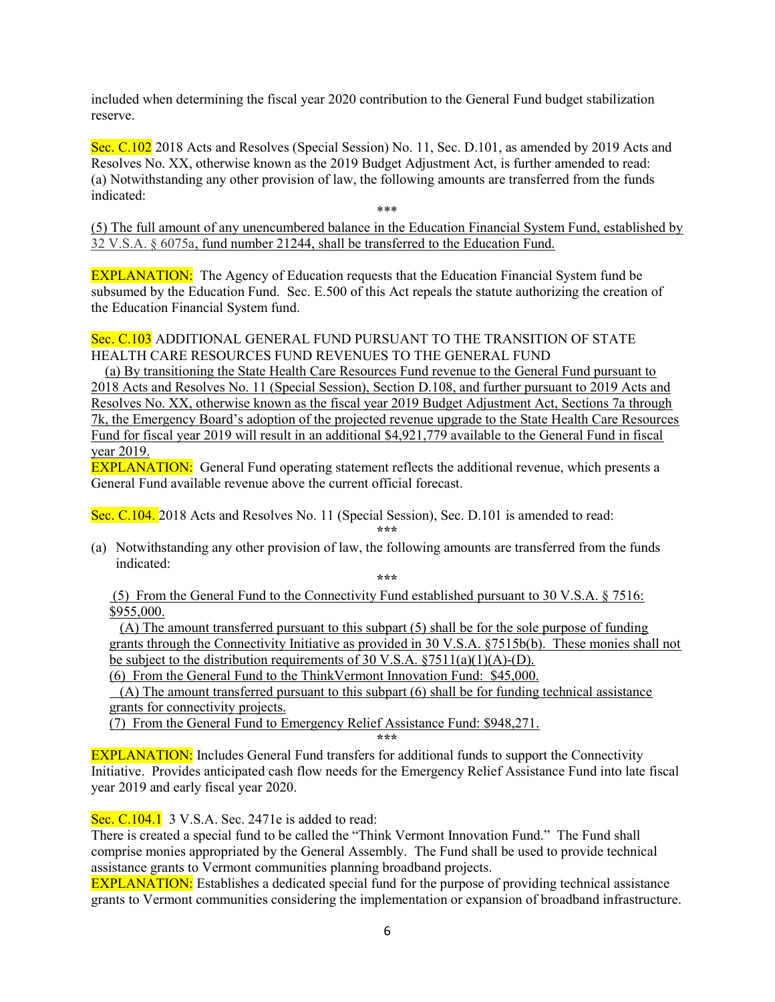included when determining the fiscal year 2020 contribution to the General Fund budget stabilization reserve.

Sec. C.102 2018 Acts and Resolves (Special Session) No. 11, Sec. D.101, as amended by 2019 Acts and Resolves No. XX, otherwise known as the 2019 Budget Adjustment Act, is further amended to read: (a) Notwithstanding any other provision of law, the following amounts are transferred from the funds indicated:

\*\*\*

(5) The full amount of any unencumbered balance in the Education Financial System Fund, established by 32 V.S.A. § 6075a, fund number 21244, shall be transferred to the Education Fund.

EXPLANATION: The Agency of Education requests that the Education Financial System fund be subsumed by the Education Fund. Sec. E.500 of this Act repeals the statute authorizing the creation of the Education Financial System fund.

## Sec. C.103 ADDITIONAL GENERAL FUND PURSUANT TO THE TRANSITION OF STATE HEALTH CARE RESOURCES FUND REVENUES TO THE GENERAL FUND

 (a) By transitioning the State Health Care Resources Fund revenue to the General Fund pursuant to 2018 Acts and Resolves No. 11 (Special Session), Section D.108, and further pursuant to 2019 Acts and Resolves No. XX, otherwise known as the fiscal year 2019 Budget Adjustment Act, Sections 7a through 7k, the Emergency Board's adoption of the projected revenue upgrade to the State Health Care Resources Fund for fiscal year 2019 will result in an additional \$4,921,779 available to the General Fund in fiscal year 2019.

**EXPLANATION:** General Fund operating statement reflects the additional revenue, which presents a General Fund available revenue above the current official forecast.

Sec. C.104. 2018 Acts and Resolves No. 11 (Special Session), Sec. D.101 is amended to read:

\*\*\*

(a) Notwithstanding any other provision of law, the following amounts are transferred from the funds indicated:

\*\*\*

 (5) From the General Fund to the Connectivity Fund established pursuant to 30 V.S.A. § 7516: \$955,000.

 (A) The amount transferred pursuant to this subpart (5) shall be for the sole purpose of funding grants through the Connectivity Initiative as provided in 30 V.S.A. §7515b(b). These monies shall not be subject to the distribution requirements of 30 V.S.A.  $\S 7511(a)(1)(A)$ -(D).

(6) From the General Fund to the ThinkVermont Innovation Fund: \$45,000.

 $(A)$  The amount transferred pursuant to this subpart  $(6)$  shall be for funding technical assistance grants for connectivity projects.

(7) From the General Fund to Emergency Relief Assistance Fund: \$948,271.

\*\*\*

EXPLANATION: Includes General Fund transfers for additional funds to support the Connectivity Initiative. Provides anticipated cash flow needs for the Emergency Relief Assistance Fund into late fiscal year 2019 and early fiscal year 2020.

Sec. C.104.1 3 V.S.A. Sec. 2471e is added to read:

There is created a special fund to be called the "Think Vermont Innovation Fund." The Fund shall comprise monies appropriated by the General Assembly. The Fund shall be used to provide technical assistance grants to Vermont communities planning broadband projects.

EXPLANATION: Establishes a dedicated special fund for the purpose of providing technical assistance grants to Vermont communities considering the implementation or expansion of broadband infrastructure.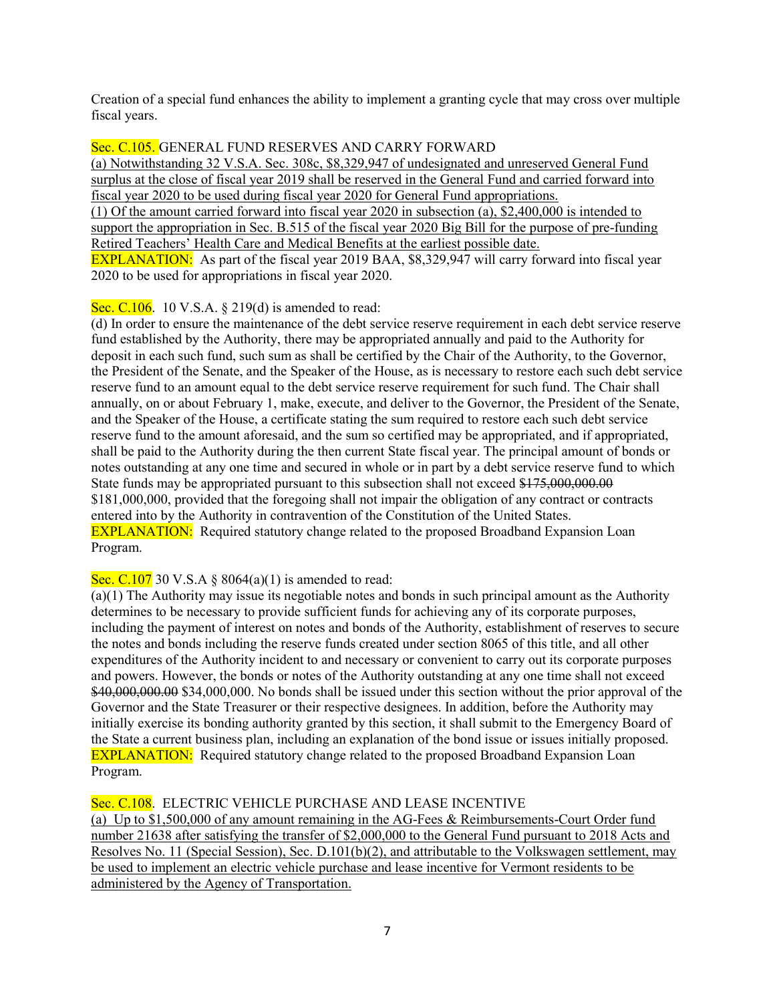Creation of a special fund enhances the ability to implement a granting cycle that may cross over multiple fiscal years.

## Sec. C.105. GENERAL FUND RESERVES AND CARRY FORWARD

(a) Notwithstanding 32 V.S.A. Sec. 308c, \$8,329,947 of undesignated and unreserved General Fund surplus at the close of fiscal year 2019 shall be reserved in the General Fund and carried forward into fiscal year 2020 to be used during fiscal year 2020 for General Fund appropriations. (1) Of the amount carried forward into fiscal year 2020 in subsection (a), \$2,400,000 is intended to support the appropriation in Sec. B.515 of the fiscal year 2020 Big Bill for the purpose of pre-funding Retired Teachers' Health Care and Medical Benefits at the earliest possible date. EXPLANATION: As part of the fiscal year 2019 BAA, \$8,329,947 will carry forward into fiscal year 2020 to be used for appropriations in fiscal year 2020.

# Sec. C.106. 10 V.S.A.  $\S 219(d)$  is amended to read:

(d) In order to ensure the maintenance of the debt service reserve requirement in each debt service reserve fund established by the Authority, there may be appropriated annually and paid to the Authority for deposit in each such fund, such sum as shall be certified by the Chair of the Authority, to the Governor, the President of the Senate, and the Speaker of the House, as is necessary to restore each such debt service reserve fund to an amount equal to the debt service reserve requirement for such fund. The Chair shall annually, on or about February 1, make, execute, and deliver to the Governor, the President of the Senate, and the Speaker of the House, a certificate stating the sum required to restore each such debt service reserve fund to the amount aforesaid, and the sum so certified may be appropriated, and if appropriated, shall be paid to the Authority during the then current State fiscal year. The principal amount of bonds or notes outstanding at any one time and secured in whole or in part by a debt service reserve fund to which State funds may be appropriated pursuant to this subsection shall not exceed \$175,000,000.00 \$181,000,000, provided that the foregoing shall not impair the obligation of any contract or contracts entered into by the Authority in contravention of the Constitution of the United States. EXPLANATION: Required statutory change related to the proposed Broadband Expansion Loan Program.

## Sec. C.107 30 V.S.A  $\S$  8064(a)(1) is amended to read:

(a)(1) The Authority may issue its negotiable notes and bonds in such principal amount as the Authority determines to be necessary to provide sufficient funds for achieving any of its corporate purposes, including the payment of interest on notes and bonds of the Authority, establishment of reserves to secure the notes and bonds including the reserve funds created under section 8065 of this title, and all other expenditures of the Authority incident to and necessary or convenient to carry out its corporate purposes and powers. However, the bonds or notes of the Authority outstanding at any one time shall not exceed \$40,000,000.000 \$34,000,000. No bonds shall be issued under this section without the prior approval of the Governor and the State Treasurer or their respective designees. In addition, before the Authority may initially exercise its bonding authority granted by this section, it shall submit to the Emergency Board of the State a current business plan, including an explanation of the bond issue or issues initially proposed. EXPLANATION: Required statutory change related to the proposed Broadband Expansion Loan Program.

## Sec. C.108. ELECTRIC VEHICLE PURCHASE AND LEASE INCENTIVE

(a) Up to \$1,500,000 of any amount remaining in the AG-Fees & Reimbursements-Court Order fund number 21638 after satisfying the transfer of \$2,000,000 to the General Fund pursuant to 2018 Acts and Resolves No. 11 (Special Session), Sec. D.101(b)(2), and attributable to the Volkswagen settlement, may be used to implement an electric vehicle purchase and lease incentive for Vermont residents to be administered by the Agency of Transportation.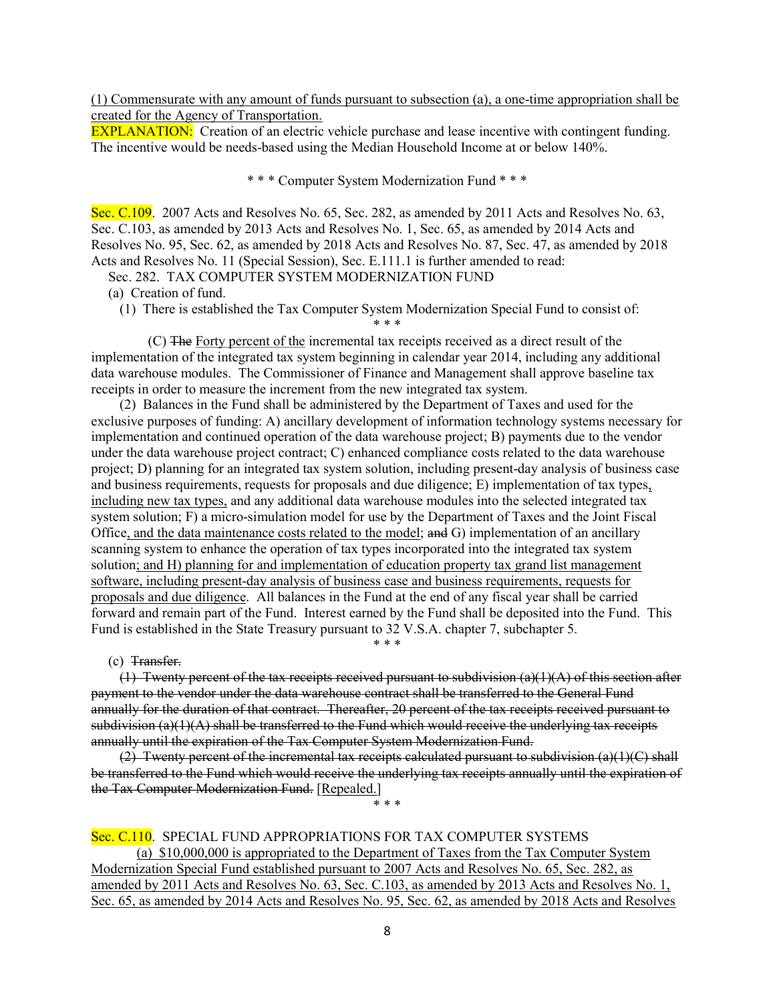(1) Commensurate with any amount of funds pursuant to subsection (a), a one-time appropriation shall be created for the Agency of Transportation.

**EXPLANATION:** Creation of an electric vehicle purchase and lease incentive with contingent funding. The incentive would be needs-based using the Median Household Income at or below 140%.

\* \* \* Computer System Modernization Fund \* \* \*

Sec. C.109. 2007 Acts and Resolves No. 65, Sec. 282, as amended by 2011 Acts and Resolves No. 63, Sec. C.103, as amended by 2013 Acts and Resolves No. 1, Sec. 65, as amended by 2014 Acts and Resolves No. 95, Sec. 62, as amended by 2018 Acts and Resolves No. 87, Sec. 47, as amended by 2018 Acts and Resolves No. 11 (Special Session), Sec. E.111.1 is further amended to read:

Sec. 282. TAX COMPUTER SYSTEM MODERNIZATION FUND

(a) Creation of fund.

(1) There is established the Tax Computer System Modernization Special Fund to consist of:

\* \* \*

(C) The Forty percent of the incremental tax receipts received as a direct result of the implementation of the integrated tax system beginning in calendar year 2014, including any additional data warehouse modules. The Commissioner of Finance and Management shall approve baseline tax receipts in order to measure the increment from the new integrated tax system.

(2) Balances in the Fund shall be administered by the Department of Taxes and used for the exclusive purposes of funding: A) ancillary development of information technology systems necessary for implementation and continued operation of the data warehouse project; B) payments due to the vendor under the data warehouse project contract; C) enhanced compliance costs related to the data warehouse project; D) planning for an integrated tax system solution, including present-day analysis of business case and business requirements, requests for proposals and due diligence; E) implementation of tax types, including new tax types, and any additional data warehouse modules into the selected integrated tax system solution; F) a micro-simulation model for use by the Department of Taxes and the Joint Fiscal Office, and the data maintenance costs related to the model; and G) implementation of an ancillary scanning system to enhance the operation of tax types incorporated into the integrated tax system solution; and H) planning for and implementation of education property tax grand list management software, including present-day analysis of business case and business requirements, requests for proposals and due diligence. All balances in the Fund at the end of any fiscal year shall be carried forward and remain part of the Fund. Interest earned by the Fund shall be deposited into the Fund. This Fund is established in the State Treasury pursuant to 32 V.S.A. chapter 7, subchapter 5.

(c) Transfer.

 $(1)$  Twenty percent of the tax receipts received pursuant to subdivision  $(a)(1)(A)$  of this section after payment to the vendor under the data warehouse contract shall be transferred to the General Fund annually for the duration of that contract. Thereafter, 20 percent of the tax receipts received pursuant to  $subdivision (a)(1)(A)$  shall be transferred to the Fund which would receive the underlying tax receipts annually until the expiration of the Tax Computer System Modernization Fund.

\* \* \*

 $(2)$  Twenty percent of the incremental tax receipts calculated pursuant to subdivision  $(a)(1)(C)$  shall be transferred to the Fund which would receive the underlying tax receipts annually until the expiration of the Tax Computer Modernization Fund. [Repealed.]

\* \* \*

## Sec. C.110. SPECIAL FUND APPROPRIATIONS FOR TAX COMPUTER SYSTEMS

(a) \$10,000,000 is appropriated to the Department of Taxes from the Tax Computer System Modernization Special Fund established pursuant to 2007 Acts and Resolves No. 65, Sec. 282, as amended by 2011 Acts and Resolves No. 63, Sec. C.103, as amended by 2013 Acts and Resolves No. 1, Sec. 65, as amended by 2014 Acts and Resolves No. 95, Sec. 62, as amended by 2018 Acts and Resolves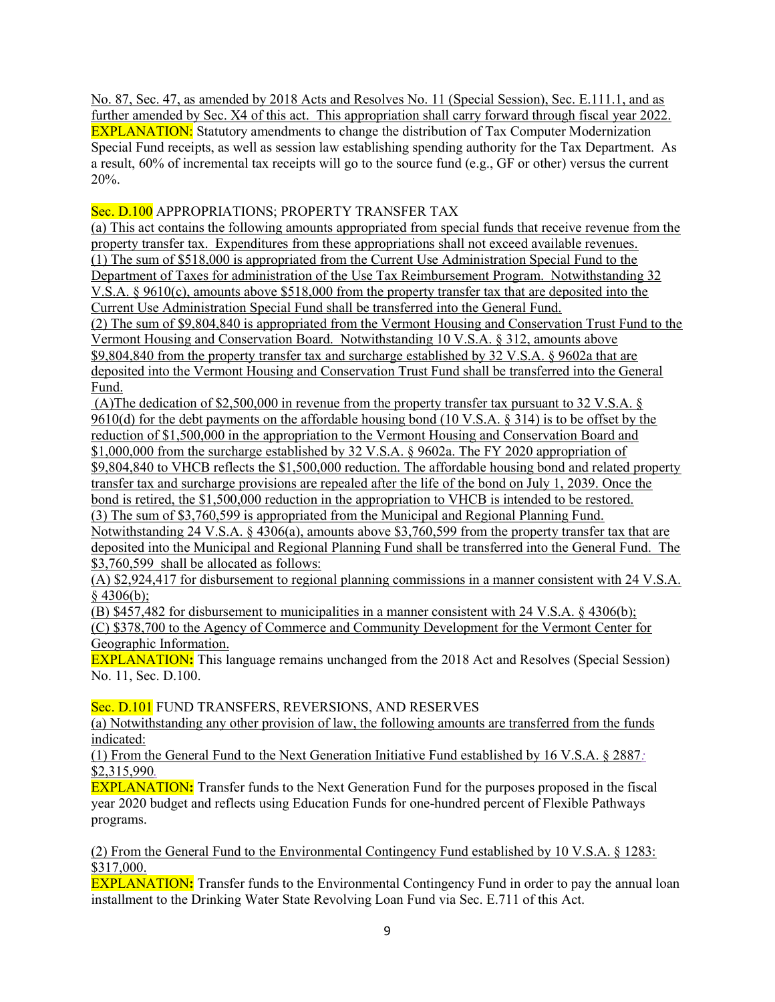No. 87, Sec. 47, as amended by 2018 Acts and Resolves No. 11 (Special Session), Sec. E.111.1, and as further amended by Sec. X4 of this act. This appropriation shall carry forward through fiscal year 2022. EXPLANATION: Statutory amendments to change the distribution of Tax Computer Modernization Special Fund receipts, as well as session law establishing spending authority for the Tax Department. As a result, 60% of incremental tax receipts will go to the source fund (e.g., GF or other) versus the current 20%.

Sec. D.100 APPROPRIATIONS; PROPERTY TRANSFER TAX

(a) This act contains the following amounts appropriated from special funds that receive revenue from the property transfer tax. Expenditures from these appropriations shall not exceed available revenues. (1) The sum of \$518,000 is appropriated from the Current Use Administration Special Fund to the Department of Taxes for administration of the Use Tax Reimbursement Program. Notwithstanding 32 V.S.A. § 9610(c), amounts above \$518,000 from the property transfer tax that are deposited into the Current Use Administration Special Fund shall be transferred into the General Fund. (2) The sum of \$9,804,840 is appropriated from the Vermont Housing and Conservation Trust Fund to the

Vermont Housing and Conservation Board. Notwithstanding 10 V.S.A. § 312, amounts above \$9,804,840 from the property transfer tax and surcharge established by 32 V.S.A. § 9602a that are deposited into the Vermont Housing and Conservation Trust Fund shall be transferred into the General Fund.

 (A)The dedication of \$2,500,000 in revenue from the property transfer tax pursuant to 32 V.S.A. § 9610(d) for the debt payments on the affordable housing bond (10 V.S.A.  $\S$  314) is to be offset by the reduction of \$1,500,000 in the appropriation to the Vermont Housing and Conservation Board and \$1,000,000 from the surcharge established by 32 V.S.A. § 9602a. The FY 2020 appropriation of \$9,804,840 to VHCB reflects the \$1,500,000 reduction. The affordable housing bond and related property transfer tax and surcharge provisions are repealed after the life of the bond on July 1, 2039. Once the bond is retired, the \$1,500,000 reduction in the appropriation to VHCB is intended to be restored. (3) The sum of \$3,760,599 is appropriated from the Municipal and Regional Planning Fund. Notwithstanding 24 V.S.A. § 4306(a), amounts above \$3,760,599 from the property transfer tax that are deposited into the Municipal and Regional Planning Fund shall be transferred into the General Fund. The \$3,760,599 shall be allocated as follows:

(A) \$2,924,417 for disbursement to regional planning commissions in a manner consistent with 24 V.S.A. § 4306(b);

(B) \$457,482 for disbursement to municipalities in a manner consistent with 24 V.S.A. § 4306(b);

(C) \$378,700 to the Agency of Commerce and Community Development for the Vermont Center for Geographic Information.

EXPLANATION: This language remains unchanged from the 2018 Act and Resolves (Special Session) No. 11, Sec. D.100.

Sec. D.101 FUND TRANSFERS, REVERSIONS, AND RESERVES

(a) Notwithstanding any other provision of law, the following amounts are transferred from the funds indicated:

(1) From the General Fund to the Next Generation Initiative Fund established by 16 V.S.A. § 2887: \$2,315,990.

EXPLANATION: Transfer funds to the Next Generation Fund for the purposes proposed in the fiscal year 2020 budget and reflects using Education Funds for one-hundred percent of Flexible Pathways programs.

(2) From the General Fund to the Environmental Contingency Fund established by 10 V.S.A. § 1283: \$317,000.

**EXPLANATION:** Transfer funds to the Environmental Contingency Fund in order to pay the annual loan installment to the Drinking Water State Revolving Loan Fund via Sec. E.711 of this Act.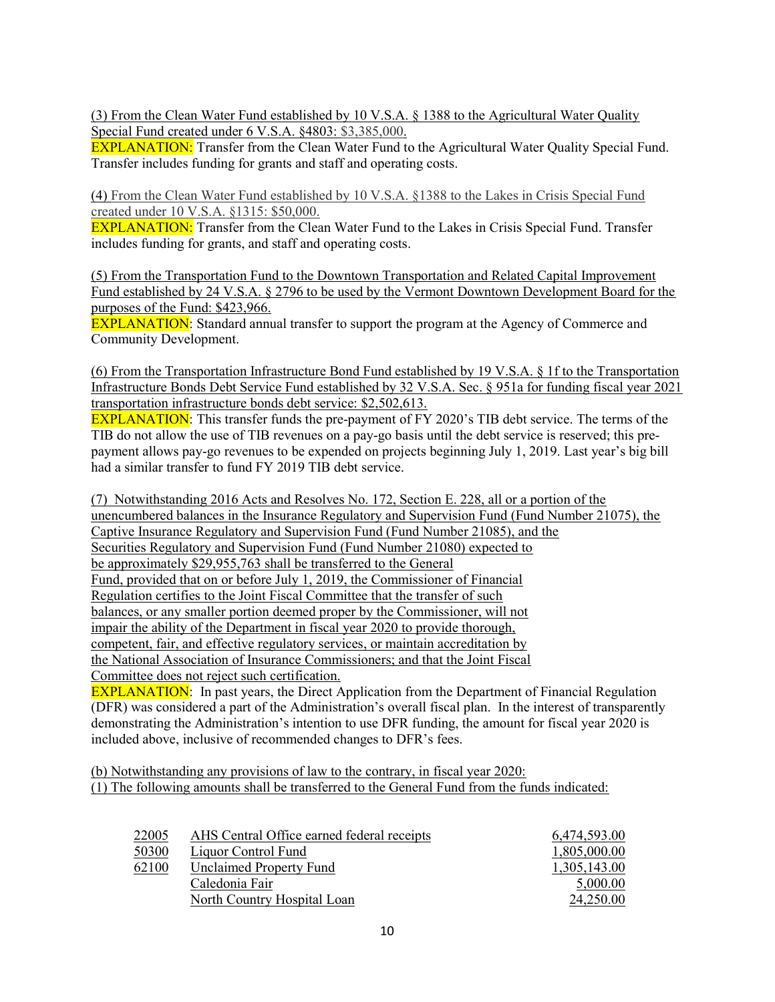(3) From the Clean Water Fund established by 10 V.S.A. § 1388 to the Agricultural Water Quality Special Fund created under 6 V.S.A. §4803: \$3,385,000.

EXPLANATION: Transfer from the Clean Water Fund to the Agricultural Water Quality Special Fund. Transfer includes funding for grants and staff and operating costs.

(4) From the Clean Water Fund established by 10 V.S.A. §1388 to the Lakes in Crisis Special Fund created under 10 V.S.A. §1315: \$50,000.

EXPLANATION: Transfer from the Clean Water Fund to the Lakes in Crisis Special Fund. Transfer includes funding for grants, and staff and operating costs.

(5) From the Transportation Fund to the Downtown Transportation and Related Capital Improvement Fund established by 24 V.S.A. § 2796 to be used by the Vermont Downtown Development Board for the purposes of the Fund: \$423,966.

**EXPLANATION**: Standard annual transfer to support the program at the Agency of Commerce and Community Development.

(6) From the Transportation Infrastructure Bond Fund established by 19 V.S.A. § 1f to the Transportation Infrastructure Bonds Debt Service Fund established by 32 V.S.A. Sec. § 951a for funding fiscal year 2021 transportation infrastructure bonds debt service: \$2,502,613.

EXPLANATION: This transfer funds the pre-payment of FY 2020's TIB debt service. The terms of the TIB do not allow the use of TIB revenues on a pay-go basis until the debt service is reserved; this prepayment allows pay-go revenues to be expended on projects beginning July 1, 2019. Last year's big bill had a similar transfer to fund FY 2019 TIB debt service.

(7) Notwithstanding 2016 Acts and Resolves No. 172, Section E. 228, all or a portion of the unencumbered balances in the Insurance Regulatory and Supervision Fund (Fund Number 21075), the Captive Insurance Regulatory and Supervision Fund (Fund Number 21085), and the Securities Regulatory and Supervision Fund (Fund Number 21080) expected to be approximately \$29,955,763 shall be transferred to the General Fund, provided that on or before July 1, 2019, the Commissioner of Financial Regulation certifies to the Joint Fiscal Committee that the transfer of such balances, or any smaller portion deemed proper by the Commissioner, will not impair the ability of the Department in fiscal year 2020 to provide thorough, competent, fair, and effective regulatory services, or maintain accreditation by the National Association of Insurance Commissioners; and that the Joint Fiscal Committee does not reject such certification.

EXPLANATION: In past years, the Direct Application from the Department of Financial Regulation (DFR) was considered a part of the Administration's overall fiscal plan. In the interest of transparently demonstrating the Administration's intention to use DFR funding, the amount for fiscal year 2020 is included above, inclusive of recommended changes to DFR's fees.

(b) Notwithstanding any provisions of law to the contrary, in fiscal year 2020: (1) The following amounts shall be transferred to the General Fund from the funds indicated:

| 22005 | AHS Central Office earned federal receipts | 6,474,593.00 |
|-------|--------------------------------------------|--------------|
| 50300 | Liquor Control Fund                        | 1,805,000.00 |
| 62100 | <b>Unclaimed Property Fund</b>             | 1,305,143.00 |
|       | Caledonia Fair                             | 5,000.00     |
|       | North Country Hospital Loan                | 24,250.00    |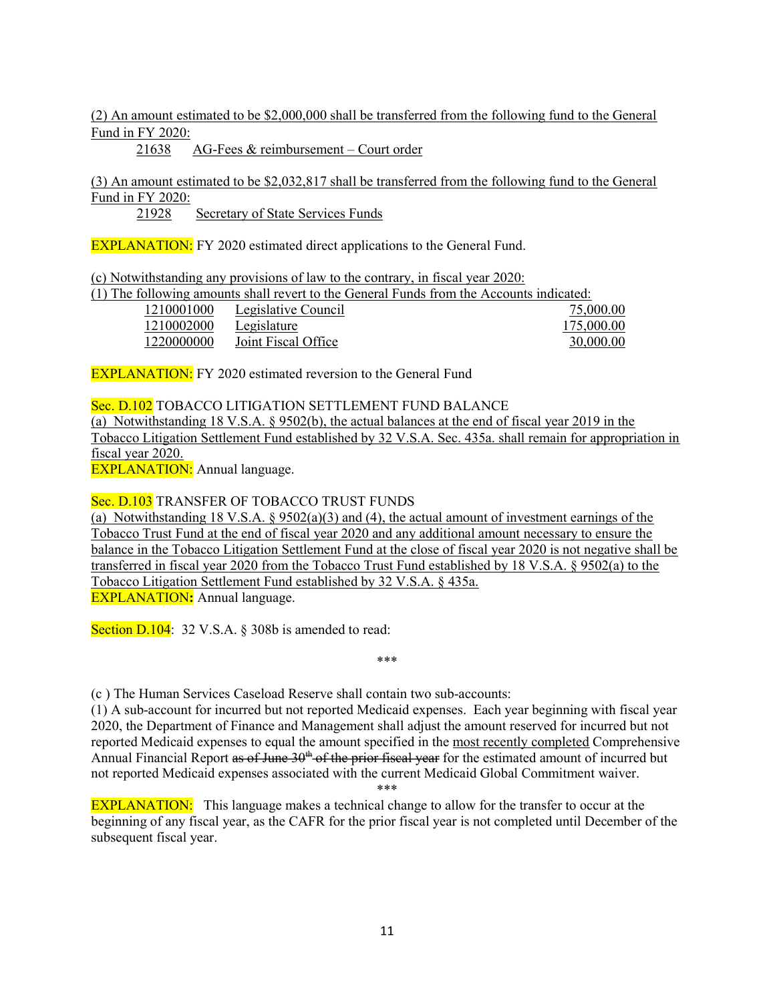#### (2) An amount estimated to be \$2,000,000 shall be transferred from the following fund to the General Fund in FY 2020:

21638 AG-Fees & reimbursement – Court order

(3) An amount estimated to be \$2,032,817 shall be transferred from the following fund to the General Fund in FY 2020:

21928 Secretary of State Services Funds

**EXPLANATION:** FY 2020 estimated direct applications to the General Fund.

(c) Notwithstanding any provisions of law to the contrary, in fiscal year 2020:

|            |                     | (1) The following amounts shall revert to the General Funds from the Accounts indicated: |
|------------|---------------------|------------------------------------------------------------------------------------------|
| 1210001000 | Legislative Council | 75,000.00                                                                                |
| 1210002000 | Legislature         | 175,000.00                                                                               |
| 1220000000 | Joint Fiscal Office | 30,000.00                                                                                |

**EXPLANATION:** FY 2020 estimated reversion to the General Fund

Sec. D.102 TOBACCO LITIGATION SETTLEMENT FUND BALANCE (a) Notwithstanding 18 V.S.A. § 9502(b), the actual balances at the end of fiscal year 2019 in the Tobacco Litigation Settlement Fund established by 32 V.S.A. Sec. 435a. shall remain for appropriation in fiscal year 2020.

EXPLANATION: Annual language.

Sec. D.103 TRANSFER OF TOBACCO TRUST FUNDS

(a) Notwithstanding 18 V.S.A. § 9502(a)(3) and (4), the actual amount of investment earnings of the Tobacco Trust Fund at the end of fiscal year 2020 and any additional amount necessary to ensure the balance in the Tobacco Litigation Settlement Fund at the close of fiscal year 2020 is not negative shall be transferred in fiscal year 2020 from the Tobacco Trust Fund established by 18 V.S.A. § 9502(a) to the Tobacco Litigation Settlement Fund established by 32 V.S.A. § 435a. EXPLANATION: Annual language.

Section D.104: 32 V.S.A. § 308b is amended to read:

(c ) The Human Services Caseload Reserve shall contain two sub-accounts:

(1) A sub-account for incurred but not reported Medicaid expenses. Each year beginning with fiscal year 2020, the Department of Finance and Management shall adjust the amount reserved for incurred but not reported Medicaid expenses to equal the amount specified in the most recently completed Comprehensive Annual Financial Report as of June  $30<sup>th</sup>$  of the prior fiscal year for the estimated amount of incurred but not reported Medicaid expenses associated with the current Medicaid Global Commitment waiver.

\*\*\*

\*\*\*

EXPLANATION: This language makes a technical change to allow for the transfer to occur at the beginning of any fiscal year, as the CAFR for the prior fiscal year is not completed until December of the subsequent fiscal year.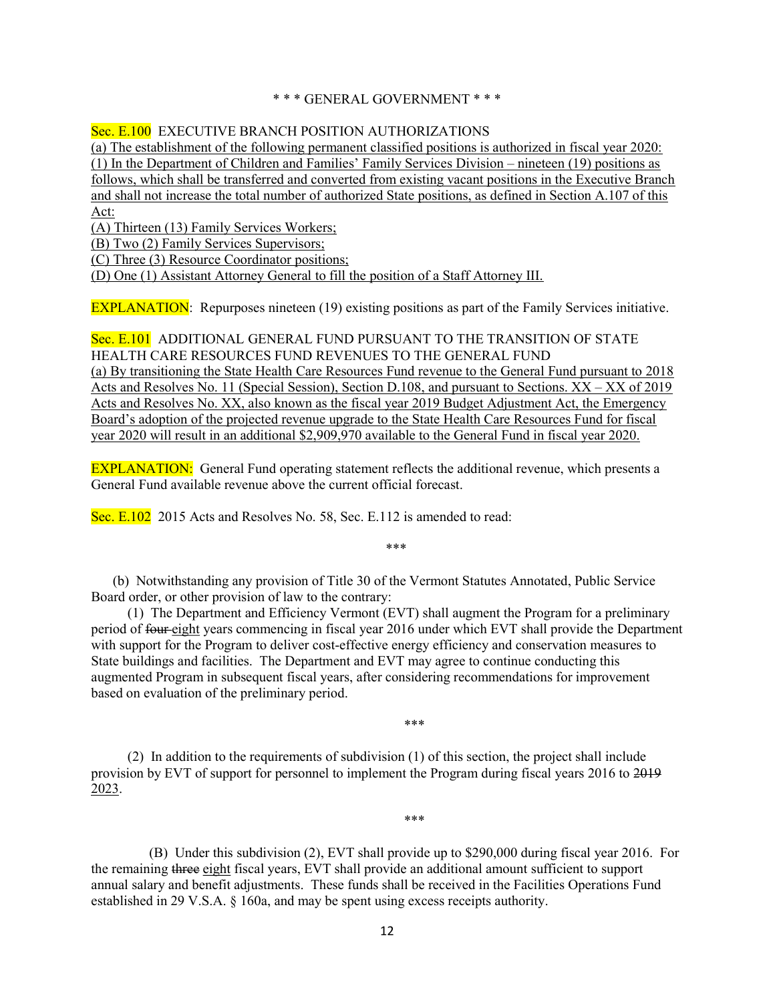#### \* \* \* GENERAL GOVERNMENT \* \* \*

#### Sec. E.100 EXECUTIVE BRANCH POSITION AUTHORIZATIONS

(a) The establishment of the following permanent classified positions is authorized in fiscal year 2020: (1) In the Department of Children and Families' Family Services Division – nineteen (19) positions as follows, which shall be transferred and converted from existing vacant positions in the Executive Branch and shall not increase the total number of authorized State positions, as defined in Section A.107 of this Act:

(A) Thirteen (13) Family Services Workers;

(B) Two (2) Family Services Supervisors;

(C) Three (3) Resource Coordinator positions;

(D) One (1) Assistant Attorney General to fill the position of a Staff Attorney III.

EXPLANATION: Repurposes nineteen (19) existing positions as part of the Family Services initiative.

## Sec. E.101 ADDITIONAL GENERAL FUND PURSUANT TO THE TRANSITION OF STATE HEALTH CARE RESOURCES FUND REVENUES TO THE GENERAL FUND (a) By transitioning the State Health Care Resources Fund revenue to the General Fund pursuant to 2018 Acts and Resolves No. 11 (Special Session), Section D.108, and pursuant to Sections. XX – XX of 2019 Acts and Resolves No. XX, also known as the fiscal year 2019 Budget Adjustment Act, the Emergency Board's adoption of the projected revenue upgrade to the State Health Care Resources Fund for fiscal year 2020 will result in an additional \$2,909,970 available to the General Fund in fiscal year 2020.

EXPLANATION: General Fund operating statement reflects the additional revenue, which presents a General Fund available revenue above the current official forecast.

Sec. E.102 2015 Acts and Resolves No. 58, Sec. E.112 is amended to read:

\*\*\*

 (b) Notwithstanding any provision of Title 30 of the Vermont Statutes Annotated, Public Service Board order, or other provision of law to the contrary:

(1) The Department and Efficiency Vermont (EVT) shall augment the Program for a preliminary period of four eight years commencing in fiscal year 2016 under which EVT shall provide the Department with support for the Program to deliver cost-effective energy efficiency and conservation measures to State buildings and facilities. The Department and EVT may agree to continue conducting this augmented Program in subsequent fiscal years, after considering recommendations for improvement based on evaluation of the preliminary period.

(2) In addition to the requirements of subdivision (1) of this section, the project shall include provision by EVT of support for personnel to implement the Program during fiscal years 2016 to 2019 2023.

\*\*\*

\*\*\*

 (B) Under this subdivision (2), EVT shall provide up to \$290,000 during fiscal year 2016. For the remaining three eight fiscal years, EVT shall provide an additional amount sufficient to support annual salary and benefit adjustments. These funds shall be received in the Facilities Operations Fund established in 29 V.S.A. § 160a, and may be spent using excess receipts authority.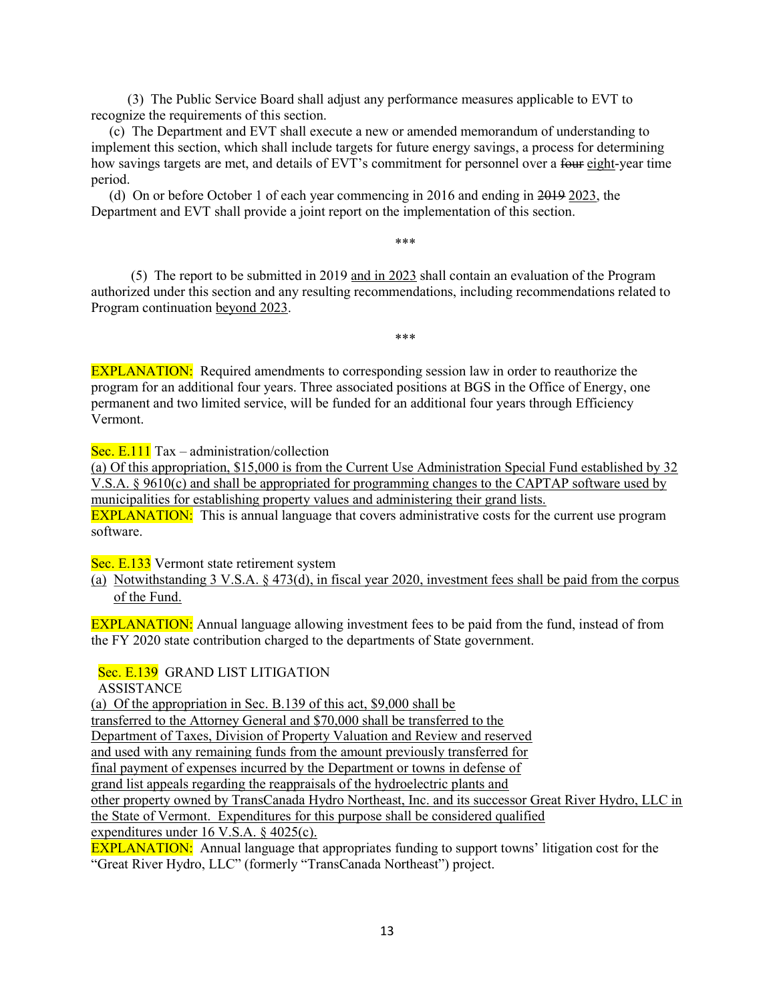(3) The Public Service Board shall adjust any performance measures applicable to EVT to recognize the requirements of this section.

(c) The Department and EVT shall execute a new or amended memorandum of understanding to implement this section, which shall include targets for future energy savings, a process for determining how savings targets are met, and details of EVT's commitment for personnel over a four eight-year time period.

(d) On or before October 1 of each year commencing in 2016 and ending in 2019 2023, the Department and EVT shall provide a joint report on the implementation of this section.

\*\*\*

\*\*\*

 (5) The report to be submitted in 2019 and in 2023 shall contain an evaluation of the Program authorized under this section and any resulting recommendations, including recommendations related to Program continuation beyond 2023.

**EXPLANATION:** Required amendments to corresponding session law in order to reauthorize the program for an additional four years. Three associated positions at BGS in the Office of Energy, one permanent and two limited service, will be funded for an additional four years through Efficiency Vermont.

Sec. E.111 Tax – administration/collection

(a) Of this appropriation, \$15,000 is from the Current Use Administration Special Fund established by 32 V.S.A. § 9610(c) and shall be appropriated for programming changes to the CAPTAP software used by municipalities for establishing property values and administering their grand lists. **EXPLANATION:** This is annual language that covers administrative costs for the current use program software.

Sec. E.133 Vermont state retirement system

(a) Notwithstanding 3 V.S.A. § 473(d), in fiscal year 2020, investment fees shall be paid from the corpus of the Fund.

EXPLANATION: Annual language allowing investment fees to be paid from the fund, instead of from the FY 2020 state contribution charged to the departments of State government.

Sec. E.139 GRAND LIST LITIGATION

ASSISTANCE

(a) Of the appropriation in Sec. B.139 of this act, \$9,000 shall be transferred to the Attorney General and \$70,000 shall be transferred to the Department of Taxes, Division of Property Valuation and Review and reserved and used with any remaining funds from the amount previously transferred for final payment of expenses incurred by the Department or towns in defense of grand list appeals regarding the reappraisals of the hydroelectric plants and other property owned by TransCanada Hydro Northeast, Inc. and its successor Great River Hydro, LLC in the State of Vermont. Expenditures for this purpose shall be considered qualified expenditures under 16 V.S.A. § 4025(c).

EXPLANATION: Annual language that appropriates funding to support towns' litigation cost for the "Great River Hydro, LLC" (formerly "TransCanada Northeast") project.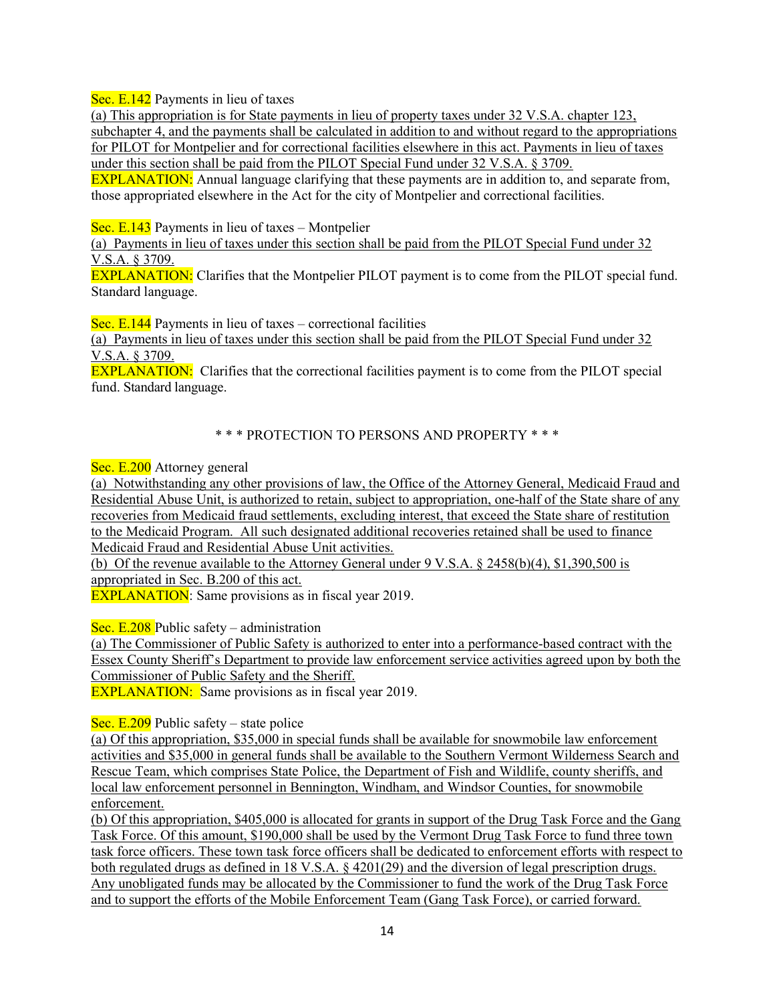Sec. E.142 Payments in lieu of taxes

(a) This appropriation is for State payments in lieu of property taxes under 32 V.S.A. chapter 123, subchapter 4, and the payments shall be calculated in addition to and without regard to the appropriations for PILOT for Montpelier and for correctional facilities elsewhere in this act. Payments in lieu of taxes under this section shall be paid from the PILOT Special Fund under 32 V.S.A. § 3709.

EXPLANATION: Annual language clarifying that these payments are in addition to, and separate from, those appropriated elsewhere in the Act for the city of Montpelier and correctional facilities.

Sec. E.143 Payments in lieu of taxes – Montpelier

(a) Payments in lieu of taxes under this section shall be paid from the PILOT Special Fund under 32 V.S.A. § 3709.

EXPLANATION: Clarifies that the Montpelier PILOT payment is to come from the PILOT special fund. Standard language.

Sec. E.144 Payments in lieu of taxes – correctional facilities

(a) Payments in lieu of taxes under this section shall be paid from the PILOT Special Fund under 32 V.S.A. § 3709.

EXPLANATION: Clarifies that the correctional facilities payment is to come from the PILOT special fund. Standard language.

# \* \* \* PROTECTION TO PERSONS AND PROPERTY \* \* \*

Sec. E.200 Attorney general

(a) Notwithstanding any other provisions of law, the Office of the Attorney General, Medicaid Fraud and Residential Abuse Unit, is authorized to retain, subject to appropriation, one-half of the State share of any recoveries from Medicaid fraud settlements, excluding interest, that exceed the State share of restitution to the Medicaid Program. All such designated additional recoveries retained shall be used to finance Medicaid Fraud and Residential Abuse Unit activities.

(b) Of the revenue available to the Attorney General under 9 V.S.A. § 2458(b)(4), \$1,390,500 is appropriated in Sec. B.200 of this act.

**EXPLANATION:** Same provisions as in fiscal year 2019.

Sec. E.208 Public safety – administration

(a) The Commissioner of Public Safety is authorized to enter into a performance-based contract with the Essex County Sheriff's Department to provide law enforcement service activities agreed upon by both the Commissioner of Public Safety and the Sheriff.

EXPLANATION: Same provisions as in fiscal year 2019.

Sec.  $E.209$  Public safety – state police

(a) Of this appropriation, \$35,000 in special funds shall be available for snowmobile law enforcement activities and \$35,000 in general funds shall be available to the Southern Vermont Wilderness Search and Rescue Team, which comprises State Police, the Department of Fish and Wildlife, county sheriffs, and local law enforcement personnel in Bennington, Windham, and Windsor Counties, for snowmobile enforcement.

(b) Of this appropriation, \$405,000 is allocated for grants in support of the Drug Task Force and the Gang Task Force. Of this amount, \$190,000 shall be used by the Vermont Drug Task Force to fund three town task force officers. These town task force officers shall be dedicated to enforcement efforts with respect to both regulated drugs as defined in 18 V.S.A. § 4201(29) and the diversion of legal prescription drugs. Any unobligated funds may be allocated by the Commissioner to fund the work of the Drug Task Force and to support the efforts of the Mobile Enforcement Team (Gang Task Force), or carried forward.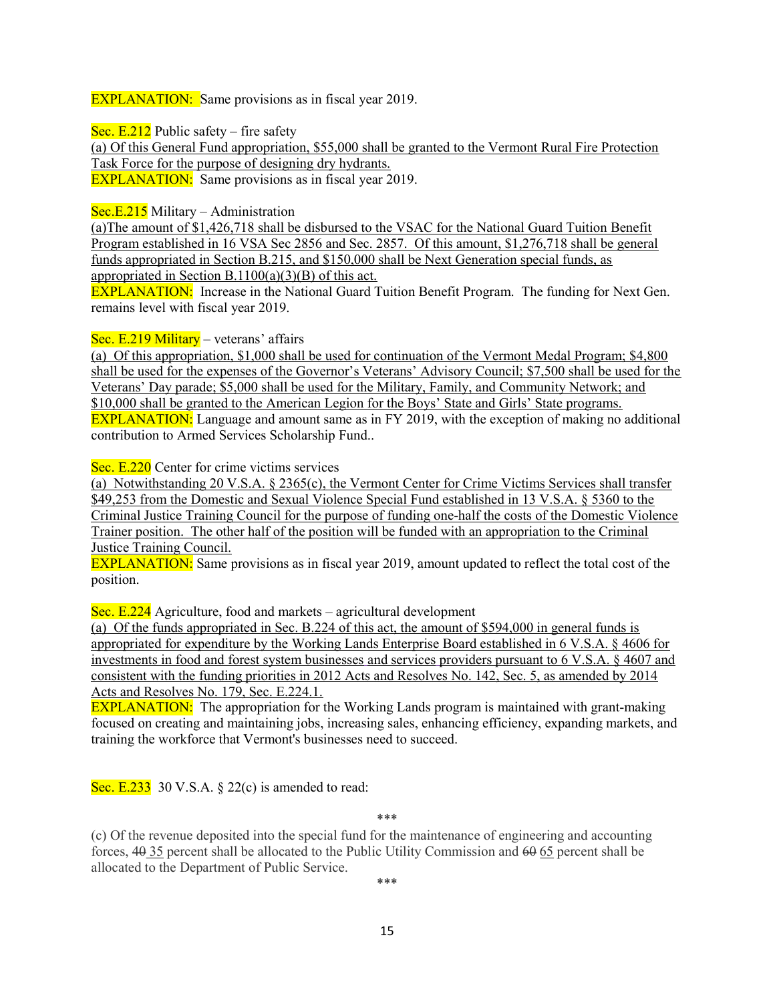EXPLANATION: Same provisions as in fiscal year 2019.

Sec.  $E.212$  Public safety – fire safety

(a) Of this General Fund appropriation, \$55,000 shall be granted to the Vermont Rural Fire Protection Task Force for the purpose of designing dry hydrants. EXPLANATION: Same provisions as in fiscal year 2019.

Sec.E.215 Military – Administration

(a)The amount of \$1,426,718 shall be disbursed to the VSAC for the National Guard Tuition Benefit Program established in 16 VSA Sec 2856 and Sec. 2857. Of this amount, \$1,276,718 shall be general funds appropriated in Section B.215, and \$150,000 shall be Next Generation special funds, as appropriated in Section B.1100(a)(3)(B) of this act.

EXPLANATION: Increase in the National Guard Tuition Benefit Program. The funding for Next Gen. remains level with fiscal year 2019.

Sec. E.219 Military – veterans' affairs

(a) Of this appropriation, \$1,000 shall be used for continuation of the Vermont Medal Program; \$4,800 shall be used for the expenses of the Governor's Veterans' Advisory Council; \$7,500 shall be used for the Veterans' Day parade; \$5,000 shall be used for the Military, Family, and Community Network; and \$10,000 shall be granted to the American Legion for the Boys' State and Girls' State programs. **EXPLANATION:** Language and amount same as in FY 2019, with the exception of making no additional contribution to Armed Services Scholarship Fund..

Sec. E.220 Center for crime victims services

(a) Notwithstanding 20 V.S.A. § 2365(c), the Vermont Center for Crime Victims Services shall transfer \$49,253 from the Domestic and Sexual Violence Special Fund established in 13 V.S.A. § 5360 to the Criminal Justice Training Council for the purpose of funding one-half the costs of the Domestic Violence Trainer position. The other half of the position will be funded with an appropriation to the Criminal Justice Training Council.

EXPLANATION: Same provisions as in fiscal year 2019, amount updated to reflect the total cost of the position.

Sec. E.224 Agriculture, food and markets – agricultural development

(a) Of the funds appropriated in Sec. B.224 of this act, the amount of \$594,000 in general funds is appropriated for expenditure by the Working Lands Enterprise Board established in 6 V.S.A. § 4606 for investments in food and forest system businesses and services providers pursuant to 6 V.S.A. § 4607 and consistent with the funding priorities in 2012 Acts and Resolves No. 142, Sec. 5, as amended by 2014 Acts and Resolves No. 179, Sec. E.224.1.

EXPLANATION: The appropriation for the Working Lands program is maintained with grant-making focused on creating and maintaining jobs, increasing sales, enhancing efficiency, expanding markets, and training the workforce that Vermont's businesses need to succeed.

Sec. E.233 30 V.S.A.  $\S$  22(c) is amended to read:

\*\*\*

(c) Of the revenue deposited into the special fund for the maintenance of engineering and accounting forces, 40 35 percent shall be allocated to the Public Utility Commission and 60 65 percent shall be allocated to the Department of Public Service.

\*\*\*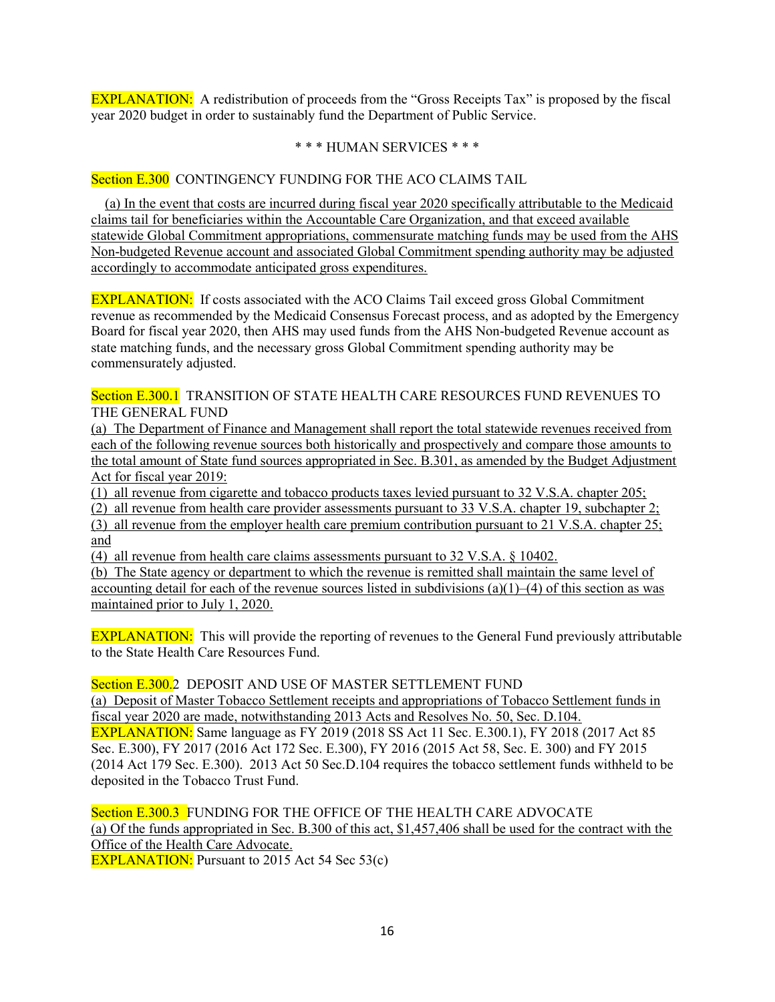EXPLANATION: A redistribution of proceeds from the "Gross Receipts Tax" is proposed by the fiscal year 2020 budget in order to sustainably fund the Department of Public Service.

## \* \* \* HUMAN SERVICES \* \* \*

## Section E.300 CONTINGENCY FUNDING FOR THE ACO CLAIMS TAIL

 (a) In the event that costs are incurred during fiscal year 2020 specifically attributable to the Medicaid claims tail for beneficiaries within the Accountable Care Organization, and that exceed available statewide Global Commitment appropriations, commensurate matching funds may be used from the AHS Non-budgeted Revenue account and associated Global Commitment spending authority may be adjusted accordingly to accommodate anticipated gross expenditures.

EXPLANATION: If costs associated with the ACO Claims Tail exceed gross Global Commitment revenue as recommended by the Medicaid Consensus Forecast process, and as adopted by the Emergency Board for fiscal year 2020, then AHS may used funds from the AHS Non-budgeted Revenue account as state matching funds, and the necessary gross Global Commitment spending authority may be commensurately adjusted.

## Section E.300.1 TRANSITION OF STATE HEALTH CARE RESOURCES FUND REVENUES TO THE GENERAL FUND

(a) The Department of Finance and Management shall report the total statewide revenues received from each of the following revenue sources both historically and prospectively and compare those amounts to the total amount of State fund sources appropriated in Sec. B.301, as amended by the Budget Adjustment Act for fiscal year 2019:

(1) all revenue from cigarette and tobacco products taxes levied pursuant to 32 V.S.A. chapter 205;

(2) all revenue from health care provider assessments pursuant to 33 V.S.A. chapter 19, subchapter 2;

(3) all revenue from the employer health care premium contribution pursuant to 21 V.S.A. chapter 25; and

(4) all revenue from health care claims assessments pursuant to 32 V.S.A. § 10402.

(b) The State agency or department to which the revenue is remitted shall maintain the same level of accounting detail for each of the revenue sources listed in subdivisions  $(a)(1)$ –(4) of this section as was maintained prior to July 1, 2020.

EXPLANATION: This will provide the reporting of revenues to the General Fund previously attributable to the State Health Care Resources Fund.

Section E.300.2 DEPOSIT AND USE OF MASTER SETTLEMENT FUND

(a) Deposit of Master Tobacco Settlement receipts and appropriations of Tobacco Settlement funds in fiscal year 2020 are made, notwithstanding 2013 Acts and Resolves No. 50, Sec. D.104. EXPLANATION: Same language as FY 2019 (2018 SS Act 11 Sec. E.300.1), FY 2018 (2017 Act 85 Sec. E.300), FY 2017 (2016 Act 172 Sec. E.300), FY 2016 (2015 Act 58, Sec. E. 300) and FY 2015 (2014 Act 179 Sec. E.300). 2013 Act 50 Sec.D.104 requires the tobacco settlement funds withheld to be deposited in the Tobacco Trust Fund.

Section E.300.3 FUNDING FOR THE OFFICE OF THE HEALTH CARE ADVOCATE (a) Of the funds appropriated in Sec. B.300 of this act, \$1,457,406 shall be used for the contract with the Office of the Health Care Advocate.

**EXPLANATION:** Pursuant to 2015 Act 54 Sec 53(c)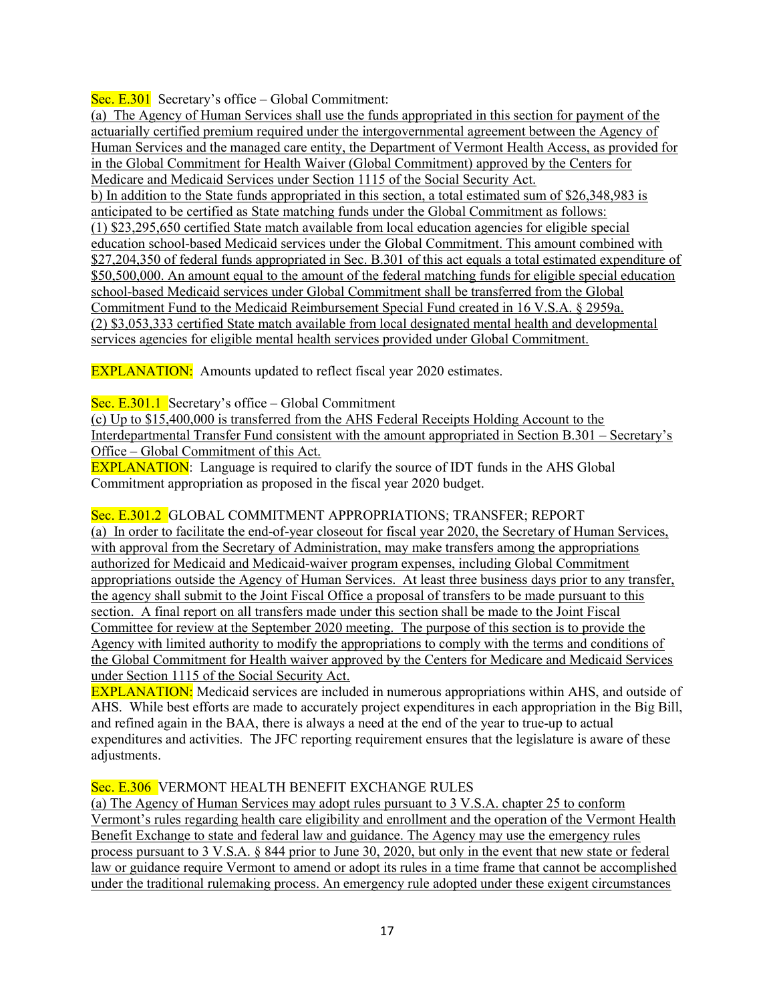Sec. E.301 Secretary's office – Global Commitment:

(a) The Agency of Human Services shall use the funds appropriated in this section for payment of the actuarially certified premium required under the intergovernmental agreement between the Agency of Human Services and the managed care entity, the Department of Vermont Health Access, as provided for in the Global Commitment for Health Waiver (Global Commitment) approved by the Centers for Medicare and Medicaid Services under Section 1115 of the Social Security Act. b) In addition to the State funds appropriated in this section, a total estimated sum of \$26,348,983 is anticipated to be certified as State matching funds under the Global Commitment as follows: (1) \$23,295,650 certified State match available from local education agencies for eligible special education school-based Medicaid services under the Global Commitment. This amount combined with \$27,204,350 of federal funds appropriated in Sec. B.301 of this act equals a total estimated expenditure of \$50,500,000. An amount equal to the amount of the federal matching funds for eligible special education school-based Medicaid services under Global Commitment shall be transferred from the Global Commitment Fund to the Medicaid Reimbursement Special Fund created in 16 V.S.A. § 2959a. (2) \$3,053,333 certified State match available from local designated mental health and developmental services agencies for eligible mental health services provided under Global Commitment.

EXPLANATION: Amounts updated to reflect fiscal year 2020 estimates.

Sec. E.301.1 Secretary's office – Global Commitment

(c) Up to \$15,400,000 is transferred from the AHS Federal Receipts Holding Account to the Interdepartmental Transfer Fund consistent with the amount appropriated in Section B.301 – Secretary's Office – Global Commitment of this Act.

**EXPLANATION:** Language is required to clarify the source of IDT funds in the AHS Global Commitment appropriation as proposed in the fiscal year 2020 budget.

# Sec. E.301.2 GLOBAL COMMITMENT APPROPRIATIONS; TRANSFER; REPORT

(a) In order to facilitate the end-of-year closeout for fiscal year 2020, the Secretary of Human Services, with approval from the Secretary of Administration, may make transfers among the appropriations authorized for Medicaid and Medicaid-waiver program expenses, including Global Commitment appropriations outside the Agency of Human Services. At least three business days prior to any transfer, the agency shall submit to the Joint Fiscal Office a proposal of transfers to be made pursuant to this section. A final report on all transfers made under this section shall be made to the Joint Fiscal Committee for review at the September 2020 meeting. The purpose of this section is to provide the Agency with limited authority to modify the appropriations to comply with the terms and conditions of the Global Commitment for Health waiver approved by the Centers for Medicare and Medicaid Services under Section 1115 of the Social Security Act.

EXPLANATION: Medicaid services are included in numerous appropriations within AHS, and outside of AHS. While best efforts are made to accurately project expenditures in each appropriation in the Big Bill, and refined again in the BAA, there is always a need at the end of the year to true-up to actual expenditures and activities. The JFC reporting requirement ensures that the legislature is aware of these adjustments.

# Sec. E.306 VERMONT HEALTH BENEFIT EXCHANGE RULES

(a) The Agency of Human Services may adopt rules pursuant to 3 V.S.A. chapter 25 to conform Vermont's rules regarding health care eligibility and enrollment and the operation of the Vermont Health Benefit Exchange to state and federal law and guidance. The Agency may use the emergency rules process pursuant to 3 V.S.A. § 844 prior to June 30, 2020, but only in the event that new state or federal law or guidance require Vermont to amend or adopt its rules in a time frame that cannot be accomplished under the traditional rulemaking process. An emergency rule adopted under these exigent circumstances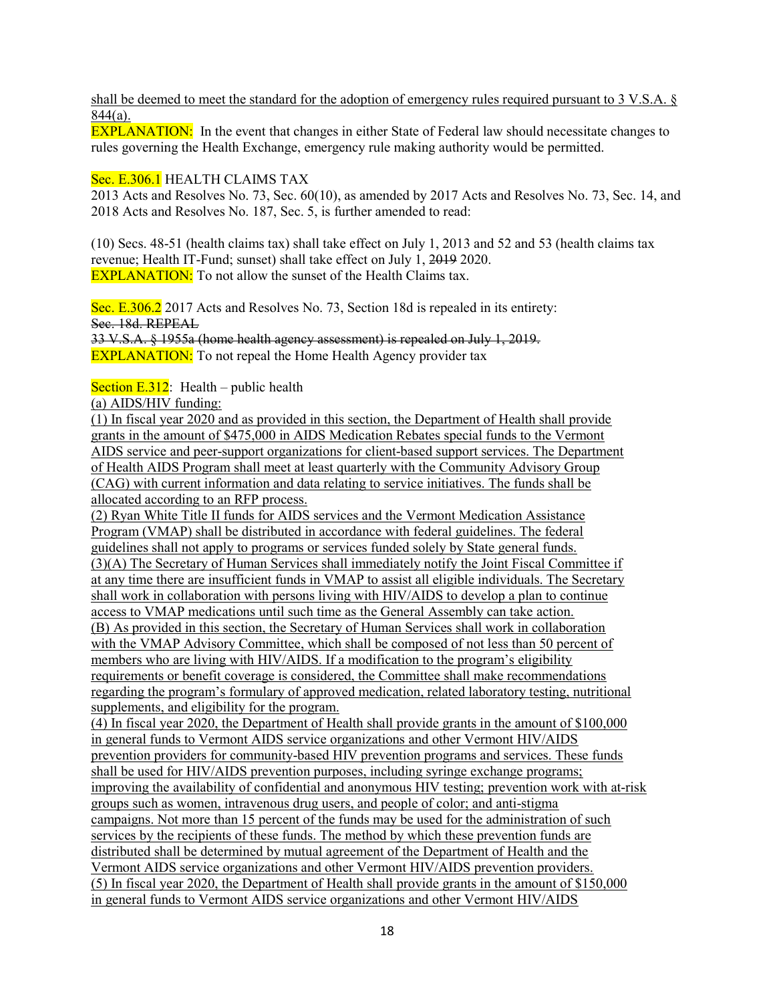shall be deemed to meet the standard for the adoption of emergency rules required pursuant to 3 V.S.A. § 844(a).

EXPLANATION: In the event that changes in either State of Federal law should necessitate changes to rules governing the Health Exchange, emergency rule making authority would be permitted.

## Sec. E.306.1 HEALTH CLAIMS TAX

2013 Acts and Resolves No. 73, Sec. 60(10), as amended by 2017 Acts and Resolves No. 73, Sec. 14, and 2018 Acts and Resolves No. 187, Sec. 5, is further amended to read:

(10) Secs. 48-51 (health claims tax) shall take effect on July 1, 2013 and 52 and 53 (health claims tax revenue; Health IT-Fund; sunset) shall take effect on July 1, 2019 2020. **EXPLANATION:** To not allow the sunset of the Health Claims tax.

Sec. E.306.2 2017 Acts and Resolves No. 73, Section 18d is repealed in its entirety: Sec. 18d. REPEAL

33 V.S.A. § 1955a (home health agency assessment) is repealed on July 1, 2019. **EXPLANATION:** To not repeal the Home Health Agency provider tax

Section  $E.312$ : Health – public health

(a) AIDS/HIV funding:

(1) In fiscal year 2020 and as provided in this section, the Department of Health shall provide grants in the amount of \$475,000 in AIDS Medication Rebates special funds to the Vermont AIDS service and peer-support organizations for client-based support services. The Department of Health AIDS Program shall meet at least quarterly with the Community Advisory Group (CAG) with current information and data relating to service initiatives. The funds shall be allocated according to an RFP process.

(2) Ryan White Title II funds for AIDS services and the Vermont Medication Assistance Program (VMAP) shall be distributed in accordance with federal guidelines. The federal guidelines shall not apply to programs or services funded solely by State general funds. (3)(A) The Secretary of Human Services shall immediately notify the Joint Fiscal Committee if at any time there are insufficient funds in VMAP to assist all eligible individuals. The Secretary shall work in collaboration with persons living with HIV/AIDS to develop a plan to continue access to VMAP medications until such time as the General Assembly can take action. (B) As provided in this section, the Secretary of Human Services shall work in collaboration with the VMAP Advisory Committee, which shall be composed of not less than 50 percent of members who are living with HIV/AIDS. If a modification to the program's eligibility requirements or benefit coverage is considered, the Committee shall make recommendations regarding the program's formulary of approved medication, related laboratory testing, nutritional supplements, and eligibility for the program.

(4) In fiscal year 2020, the Department of Health shall provide grants in the amount of \$100,000 in general funds to Vermont AIDS service organizations and other Vermont HIV/AIDS prevention providers for community-based HIV prevention programs and services. These funds shall be used for HIV/AIDS prevention purposes, including syringe exchange programs; improving the availability of confidential and anonymous HIV testing; prevention work with at-risk groups such as women, intravenous drug users, and people of color; and anti-stigma campaigns. Not more than 15 percent of the funds may be used for the administration of such services by the recipients of these funds. The method by which these prevention funds are distributed shall be determined by mutual agreement of the Department of Health and the Vermont AIDS service organizations and other Vermont HIV/AIDS prevention providers. (5) In fiscal year 2020, the Department of Health shall provide grants in the amount of \$150,000 in general funds to Vermont AIDS service organizations and other Vermont HIV/AIDS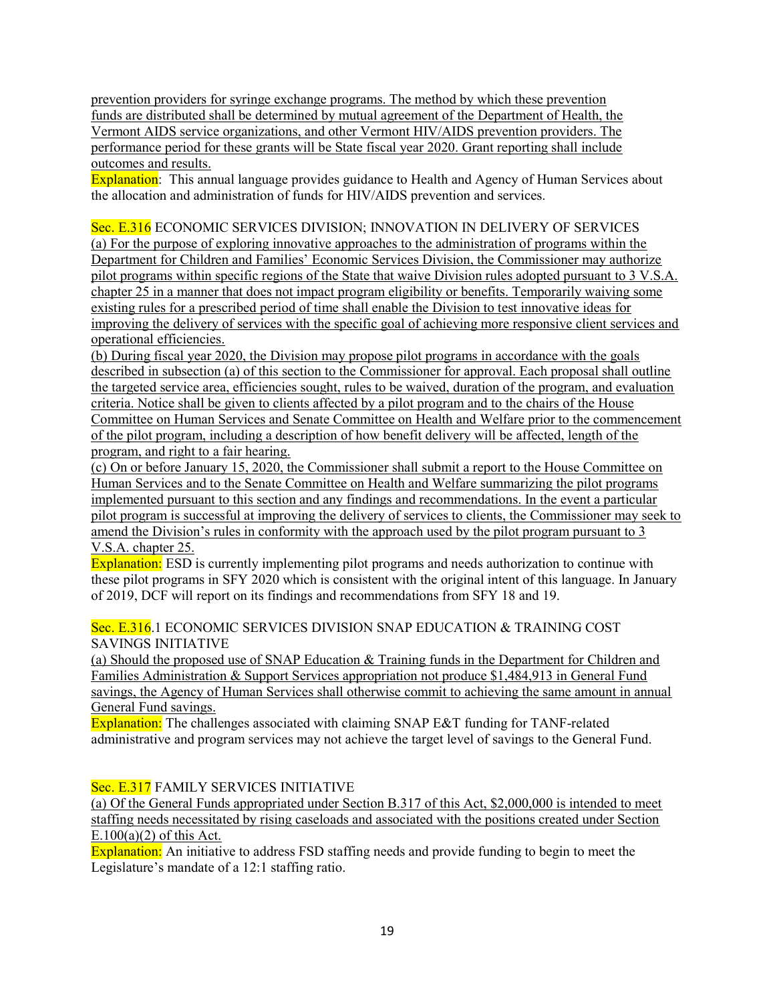prevention providers for syringe exchange programs. The method by which these prevention funds are distributed shall be determined by mutual agreement of the Department of Health, the Vermont AIDS service organizations, and other Vermont HIV/AIDS prevention providers. The performance period for these grants will be State fiscal year 2020. Grant reporting shall include outcomes and results.

Explanation: This annual language provides guidance to Health and Agency of Human Services about the allocation and administration of funds for HIV/AIDS prevention and services.

Sec. E.316 ECONOMIC SERVICES DIVISION; INNOVATION IN DELIVERY OF SERVICES (a) For the purpose of exploring innovative approaches to the administration of programs within the Department for Children and Families' Economic Services Division, the Commissioner may authorize pilot programs within specific regions of the State that waive Division rules adopted pursuant to 3 V.S.A. chapter 25 in a manner that does not impact program eligibility or benefits. Temporarily waiving some existing rules for a prescribed period of time shall enable the Division to test innovative ideas for improving the delivery of services with the specific goal of achieving more responsive client services and operational efficiencies.

(b) During fiscal year 2020, the Division may propose pilot programs in accordance with the goals described in subsection (a) of this section to the Commissioner for approval. Each proposal shall outline the targeted service area, efficiencies sought, rules to be waived, duration of the program, and evaluation criteria. Notice shall be given to clients affected by a pilot program and to the chairs of the House Committee on Human Services and Senate Committee on Health and Welfare prior to the commencement of the pilot program, including a description of how benefit delivery will be affected, length of the program, and right to a fair hearing.

(c) On or before January 15, 2020, the Commissioner shall submit a report to the House Committee on Human Services and to the Senate Committee on Health and Welfare summarizing the pilot programs implemented pursuant to this section and any findings and recommendations. In the event a particular pilot program is successful at improving the delivery of services to clients, the Commissioner may seek to amend the Division's rules in conformity with the approach used by the pilot program pursuant to 3 V.S.A. chapter 25.

Explanation: ESD is currently implementing pilot programs and needs authorization to continue with these pilot programs in SFY 2020 which is consistent with the original intent of this language. In January of 2019, DCF will report on its findings and recommendations from SFY 18 and 19.

## Sec. E.316.1 ECONOMIC SERVICES DIVISION SNAP EDUCATION & TRAINING COST SAVINGS INITIATIVE

(a) Should the proposed use of SNAP Education & Training funds in the Department for Children and Families Administration & Support Services appropriation not produce \$1,484,913 in General Fund savings, the Agency of Human Services shall otherwise commit to achieving the same amount in annual General Fund savings.

Explanation: The challenges associated with claiming SNAP E&T funding for TANF-related administrative and program services may not achieve the target level of savings to the General Fund.

# Sec. E.317 FAMILY SERVICES INITIATIVE

(a) Of the General Funds appropriated under Section B.317 of this Act, \$2,000,000 is intended to meet staffing needs necessitated by rising caseloads and associated with the positions created under Section  $E.100(a)(2)$  of this Act.

Explanation: An initiative to address FSD staffing needs and provide funding to begin to meet the Legislature's mandate of a 12:1 staffing ratio.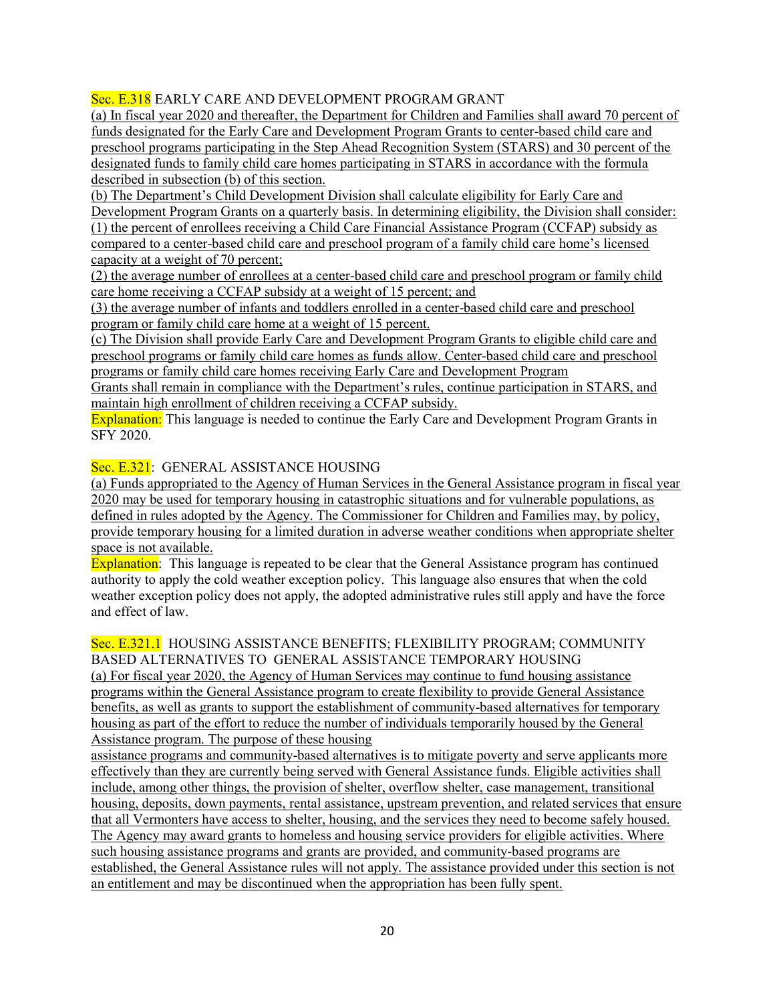Sec. E.318 EARLY CARE AND DEVELOPMENT PROGRAM GRANT

(a) In fiscal year 2020 and thereafter, the Department for Children and Families shall award 70 percent of funds designated for the Early Care and Development Program Grants to center-based child care and preschool programs participating in the Step Ahead Recognition System (STARS) and 30 percent of the designated funds to family child care homes participating in STARS in accordance with the formula described in subsection (b) of this section.

(b) The Department's Child Development Division shall calculate eligibility for Early Care and Development Program Grants on a quarterly basis. In determining eligibility, the Division shall consider: (1) the percent of enrollees receiving a Child Care Financial Assistance Program (CCFAP) subsidy as compared to a center-based child care and preschool program of a family child care home's licensed capacity at a weight of 70 percent;

(2) the average number of enrollees at a center-based child care and preschool program or family child care home receiving a CCFAP subsidy at a weight of 15 percent; and

(3) the average number of infants and toddlers enrolled in a center-based child care and preschool program or family child care home at a weight of 15 percent.

(c) The Division shall provide Early Care and Development Program Grants to eligible child care and preschool programs or family child care homes as funds allow. Center-based child care and preschool programs or family child care homes receiving Early Care and Development Program

Grants shall remain in compliance with the Department's rules, continue participation in STARS, and maintain high enrollment of children receiving a CCFAP subsidy.

Explanation: This language is needed to continue the Early Care and Development Program Grants in SFY 2020.

# Sec. E.321: GENERAL ASSISTANCE HOUSING

(a) Funds appropriated to the Agency of Human Services in the General Assistance program in fiscal year 2020 may be used for temporary housing in catastrophic situations and for vulnerable populations, as defined in rules adopted by the Agency. The Commissioner for Children and Families may, by policy, provide temporary housing for a limited duration in adverse weather conditions when appropriate shelter space is not available.

Explanation: This language is repeated to be clear that the General Assistance program has continued authority to apply the cold weather exception policy. This language also ensures that when the cold weather exception policy does not apply, the adopted administrative rules still apply and have the force and effect of law.

#### Sec. E.321.1 HOUSING ASSISTANCE BENEFITS; FLEXIBILITY PROGRAM; COMMUNITY BASED ALTERNATIVES TO GENERAL ASSISTANCE TEMPORARY HOUSING

(a) For fiscal year 2020, the Agency of Human Services may continue to fund housing assistance programs within the General Assistance program to create flexibility to provide General Assistance benefits, as well as grants to support the establishment of community-based alternatives for temporary housing as part of the effort to reduce the number of individuals temporarily housed by the General Assistance program. The purpose of these housing

assistance programs and community-based alternatives is to mitigate poverty and serve applicants more effectively than they are currently being served with General Assistance funds. Eligible activities shall include, among other things, the provision of shelter, overflow shelter, case management, transitional housing, deposits, down payments, rental assistance, upstream prevention, and related services that ensure that all Vermonters have access to shelter, housing, and the services they need to become safely housed. The Agency may award grants to homeless and housing service providers for eligible activities. Where such housing assistance programs and grants are provided, and community-based programs are established, the General Assistance rules will not apply. The assistance provided under this section is not an entitlement and may be discontinued when the appropriation has been fully spent.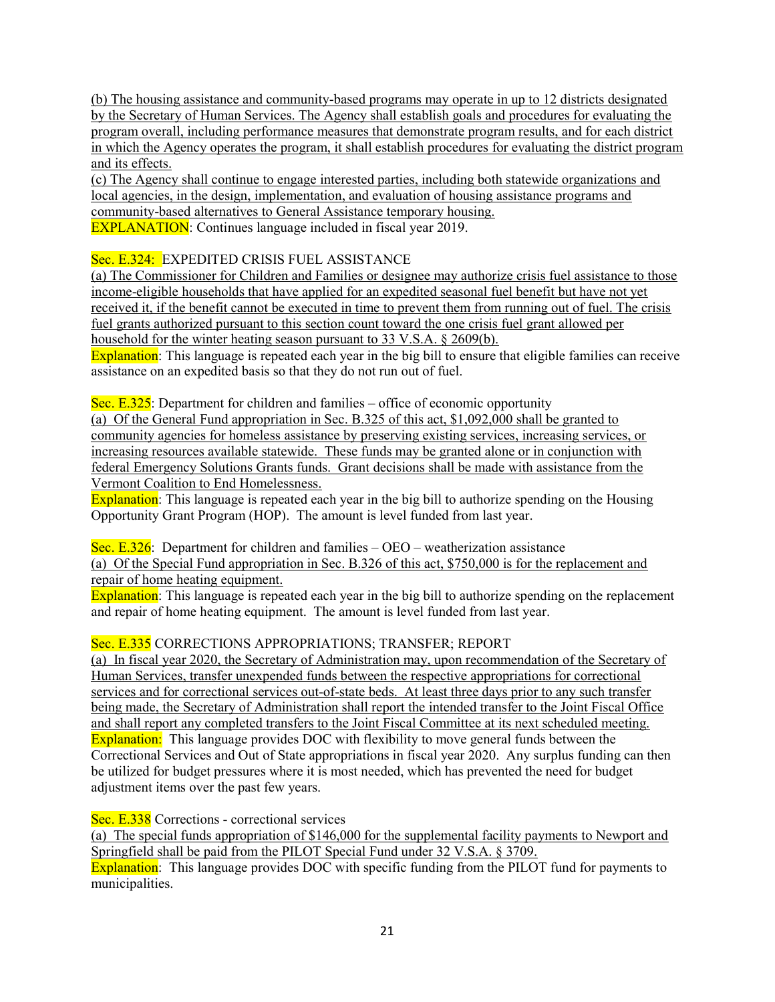(b) The housing assistance and community-based programs may operate in up to 12 districts designated by the Secretary of Human Services. The Agency shall establish goals and procedures for evaluating the program overall, including performance measures that demonstrate program results, and for each district in which the Agency operates the program, it shall establish procedures for evaluating the district program and its effects.

(c) The Agency shall continue to engage interested parties, including both statewide organizations and local agencies, in the design, implementation, and evaluation of housing assistance programs and community-based alternatives to General Assistance temporary housing. **EXPLANATION:** Continues language included in fiscal year 2019.

Sec. E.324: EXPEDITED CRISIS FUEL ASSISTANCE

(a) The Commissioner for Children and Families or designee may authorize crisis fuel assistance to those income-eligible households that have applied for an expedited seasonal fuel benefit but have not yet received it, if the benefit cannot be executed in time to prevent them from running out of fuel. The crisis fuel grants authorized pursuant to this section count toward the one crisis fuel grant allowed per household for the winter heating season pursuant to 33 V.S.A. § 2609(b).

Explanation: This language is repeated each year in the big bill to ensure that eligible families can receive assistance on an expedited basis so that they do not run out of fuel.

Sec. E.325: Department for children and families – office of economic opportunity

(a) Of the General Fund appropriation in Sec. B.325 of this act, \$1,092,000 shall be granted to community agencies for homeless assistance by preserving existing services, increasing services, or increasing resources available statewide. These funds may be granted alone or in conjunction with federal Emergency Solutions Grants funds. Grant decisions shall be made with assistance from the Vermont Coalition to End Homelessness.

Explanation: This language is repeated each year in the big bill to authorize spending on the Housing Opportunity Grant Program (HOP). The amount is level funded from last year.

Sec. E.326: Department for children and families  $-$  OEO – weatherization assistance (a) Of the Special Fund appropriation in Sec. B.326 of this act, \$750,000 is for the replacement and repair of home heating equipment.

Explanation: This language is repeated each year in the big bill to authorize spending on the replacement and repair of home heating equipment. The amount is level funded from last year.

# Sec. E.335 CORRECTIONS APPROPRIATIONS; TRANSFER; REPORT

(a) In fiscal year 2020, the Secretary of Administration may, upon recommendation of the Secretary of Human Services, transfer unexpended funds between the respective appropriations for correctional services and for correctional services out-of-state beds. At least three days prior to any such transfer being made, the Secretary of Administration shall report the intended transfer to the Joint Fiscal Office and shall report any completed transfers to the Joint Fiscal Committee at its next scheduled meeting. Explanation: This language provides DOC with flexibility to move general funds between the Correctional Services and Out of State appropriations in fiscal year 2020. Any surplus funding can then be utilized for budget pressures where it is most needed, which has prevented the need for budget adjustment items over the past few years.

Sec. E.338 Corrections - correctional services

(a) The special funds appropriation of \$146,000 for the supplemental facility payments to Newport and Springfield shall be paid from the PILOT Special Fund under 32 V.S.A. § 3709.

Explanation: This language provides DOC with specific funding from the PILOT fund for payments to municipalities.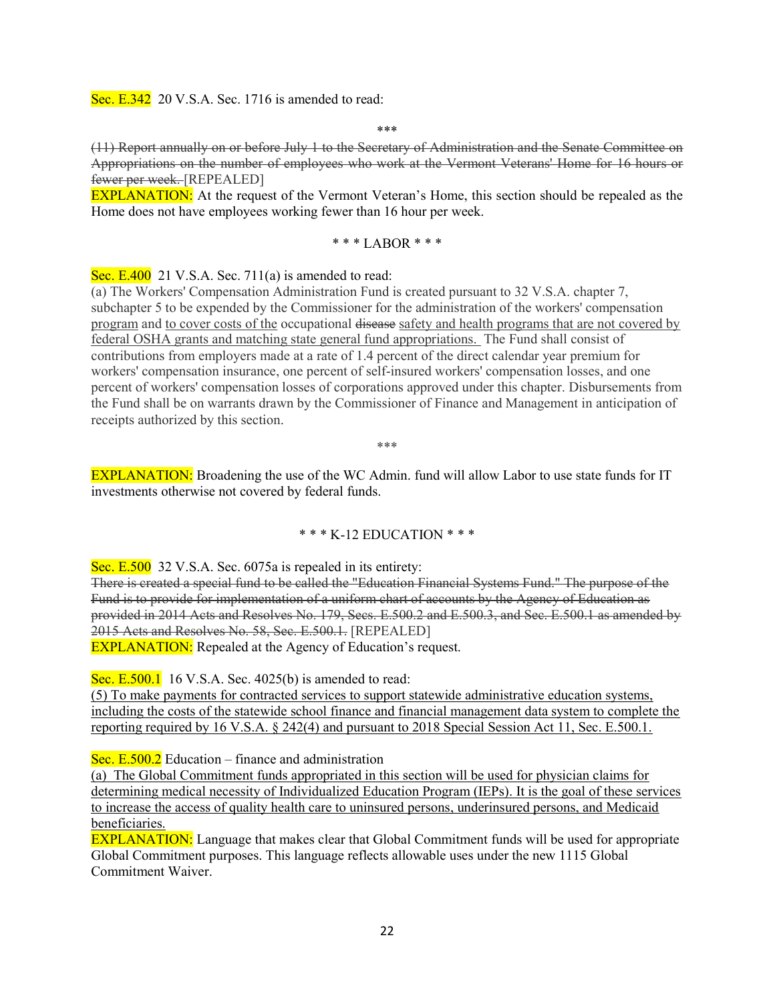Sec. E.342 20 V.S.A. Sec. 1716 is amended to read:

\*\*\*

(11) Report annually on or before July 1 to the Secretary of Administration and the Senate Committee on Appropriations on the number of employees who work at the Vermont Veterans' Home for 16 hours or fewer per week. [REPEALED]

EXPLANATION: At the request of the Vermont Veteran's Home, this section should be repealed as the Home does not have employees working fewer than 16 hour per week.

#### \* \* \* LABOR \* \* \*

Sec. E.400 21 V.S.A. Sec. 711(a) is amended to read:

(a) The Workers' Compensation Administration Fund is created pursuant to 32 V.S.A. chapter 7, subchapter 5 to be expended by the Commissioner for the administration of the workers' compensation program and to cover costs of the occupational disease safety and health programs that are not covered by federal OSHA grants and matching state general fund appropriations. The Fund shall consist of contributions from employers made at a rate of 1.4 percent of the direct calendar year premium for workers' compensation insurance, one percent of self-insured workers' compensation losses, and one percent of workers' compensation losses of corporations approved under this chapter. Disbursements from the Fund shall be on warrants drawn by the Commissioner of Finance and Management in anticipation of receipts authorized by this section.

\*\*\*

EXPLANATION: Broadening the use of the WC Admin. fund will allow Labor to use state funds for IT investments otherwise not covered by federal funds.

#### \* \* \* K-12 EDUCATION \* \* \*

Sec. E.500 32 V.S.A. Sec. 6075a is repealed in its entirety:

There is created a special fund to be called the "Education Financial Systems Fund." The purpose of the Fund is to provide for implementation of a uniform chart of accounts by the Agency of Education as provided in 2014 Acts and Resolves No. 179, Secs. E.500.2 and E.500.3, and Sec. E.500.1 as amended by 2015 Acts and Resolves No. 58, Sec. E.500.1. [REPEALED] **EXPLANATION:** Repealed at the Agency of Education's request.

Sec. E.500.1 16 V.S.A. Sec. 4025(b) is amended to read:

(5) To make payments for contracted services to support statewide administrative education systems, including the costs of the statewide school finance and financial management data system to complete the reporting required by 16 V.S.A. § 242(4) and pursuant to 2018 Special Session Act 11, Sec. E.500.1.

Sec. E.500.2 Education – finance and administration

(a) The Global Commitment funds appropriated in this section will be used for physician claims for determining medical necessity of Individualized Education Program (IEPs). It is the goal of these services to increase the access of quality health care to uninsured persons, underinsured persons, and Medicaid beneficiaries.

EXPLANATION: Language that makes clear that Global Commitment funds will be used for appropriate Global Commitment purposes. This language reflects allowable uses under the new 1115 Global Commitment Waiver.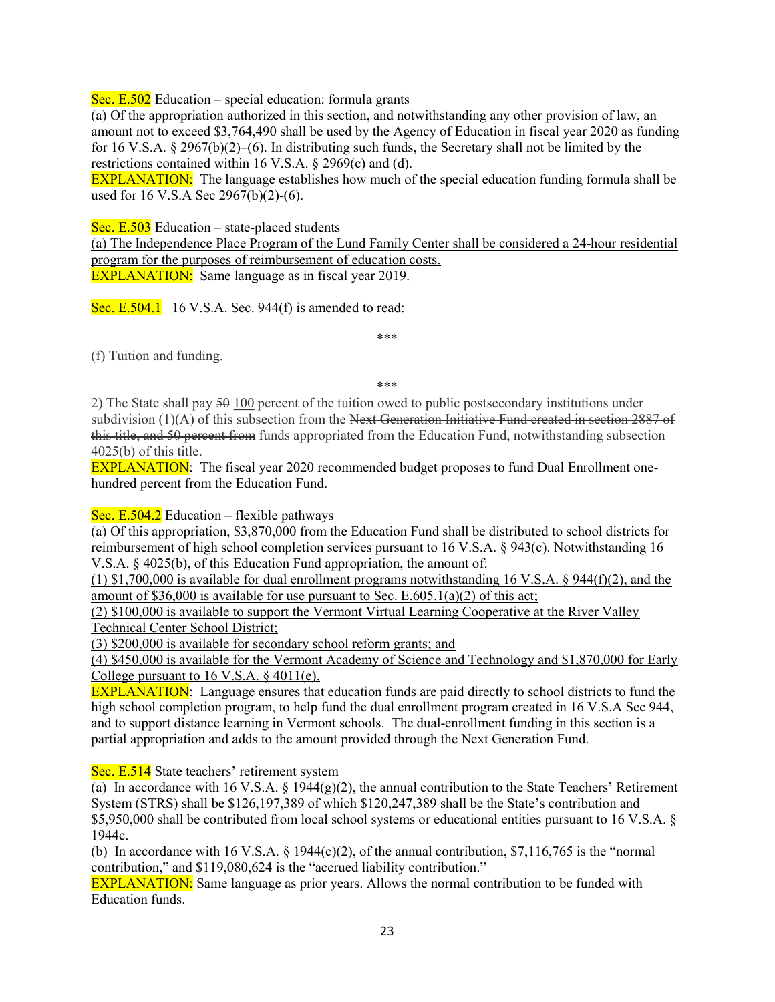Sec. E.502 Education – special education: formula grants

(a) Of the appropriation authorized in this section, and notwithstanding any other provision of law, an amount not to exceed \$3,764,490 shall be used by the Agency of Education in fiscal year 2020 as funding for 16 V.S.A. § 2967(b)(2)–(6). In distributing such funds, the Secretary shall not be limited by the restrictions contained within 16 V.S.A. § 2969(c) and (d).

EXPLANATION: The language establishes how much of the special education funding formula shall be used for 16 V.S.A Sec 2967(b)(2)-(6).

Sec. E.503 Education – state-placed students

(a) The Independence Place Program of the Lund Family Center shall be considered a 24-hour residential program for the purposes of reimbursement of education costs. EXPLANATION: Same language as in fiscal year 2019.

Sec. E.504.1 16 V.S.A. Sec. 944 $(f)$  is amended to read:

(f) Tuition and funding.

\*\*\*

\*\*\*

2) The State shall pay 50 100 percent of the tuition owed to public postsecondary institutions under subdivision (1)(A) of this subsection from the Next Generation Initiative Fund created in section 2887 of this title, and 50 percent from funds appropriated from the Education Fund, notwithstanding subsection 4025(b) of this title.

EXPLANATION: The fiscal year 2020 recommended budget proposes to fund Dual Enrollment onehundred percent from the Education Fund.

Sec. E.504.2 Education – flexible pathways

(a) Of this appropriation, \$3,870,000 from the Education Fund shall be distributed to school districts for reimbursement of high school completion services pursuant to 16 V.S.A. § 943(c). Notwithstanding 16 V.S.A. § 4025(b), of this Education Fund appropriation, the amount of:

(1) \$1,700,000 is available for dual enrollment programs notwithstanding 16 V.S.A. § 944(f)(2), and the amount of \$36,000 is available for use pursuant to Sec.  $E.605.1(a)(2)$  of this act;

(2) \$100,000 is available to support the Vermont Virtual Learning Cooperative at the River Valley Technical Center School District;

(3) \$200,000 is available for secondary school reform grants; and

(4) \$450,000 is available for the Vermont Academy of Science and Technology and \$1,870,000 for Early College pursuant to  $16$  V.S.A.  $§$  4011(e).

EXPLANATION: Language ensures that education funds are paid directly to school districts to fund the high school completion program, to help fund the dual enrollment program created in 16 V.S.A Sec 944, and to support distance learning in Vermont schools. The dual-enrollment funding in this section is a partial appropriation and adds to the amount provided through the Next Generation Fund.

Sec. E.514 State teachers' retirement system

(a) In accordance with 16 V.S.A.  $\S$  1944(g)(2), the annual contribution to the State Teachers' Retirement System (STRS) shall be \$126,197,389 of which \$120,247,389 shall be the State's contribution and \$5,950,000 shall be contributed from local school systems or educational entities pursuant to 16 V.S.A. § 1944c.

(b) In accordance with 16 V.S.A.  $\S$  1944(c)(2), of the annual contribution, \$7,116,765 is the "normal" contribution," and \$119,080,624 is the "accrued liability contribution."

**EXPLANATION:** Same language as prior years. Allows the normal contribution to be funded with Education funds.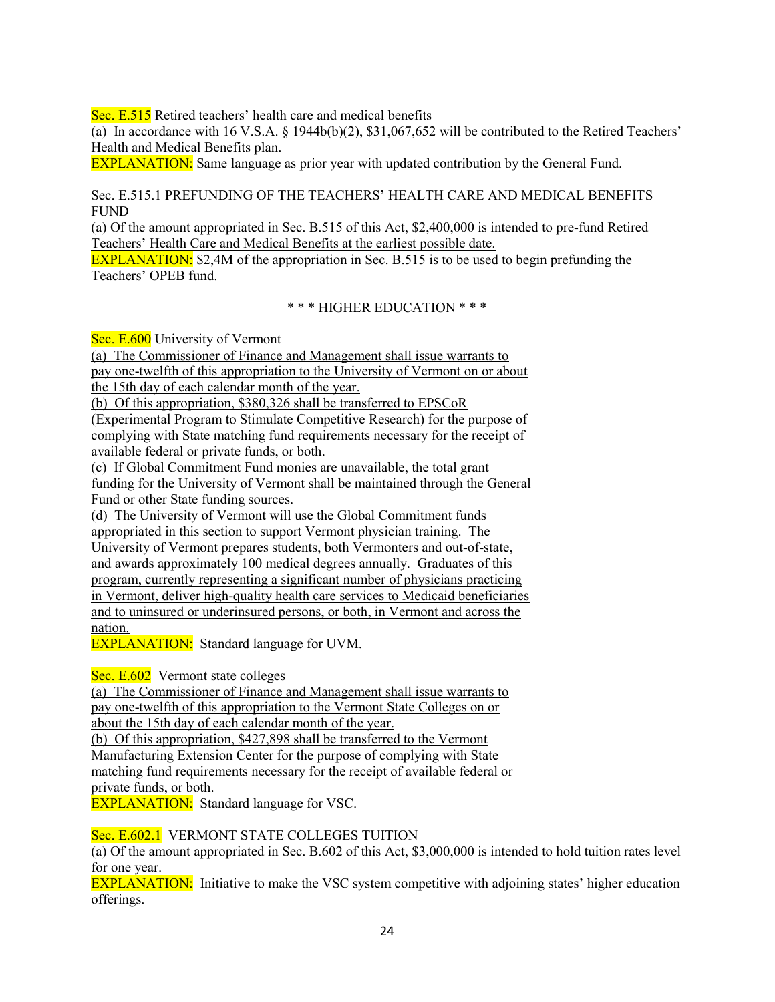Sec. E.515 Retired teachers' health care and medical benefits

(a) In accordance with  $16 \text{ V.S.A. }$  §  $1944b(b)(2),$  \$31,067,652 will be contributed to the Retired Teachers' Health and Medical Benefits plan.

EXPLANATION: Same language as prior year with updated contribution by the General Fund.

Sec. E.515.1 PREFUNDING OF THE TEACHERS' HEALTH CARE AND MEDICAL BENEFITS FUND

(a) Of the amount appropriated in Sec. B.515 of this Act, \$2,400,000 is intended to pre-fund Retired Teachers' Health Care and Medical Benefits at the earliest possible date.

EXPLANATION: \$2,4M of the appropriation in Sec. B.515 is to be used to begin prefunding the Teachers' OPEB fund.

\* \* \* HIGHER EDUCATION \* \* \*

Sec. E.600 University of Vermont

(a) The Commissioner of Finance and Management shall issue warrants to pay one-twelfth of this appropriation to the University of Vermont on or about the 15th day of each calendar month of the year.

(b) Of this appropriation, \$380,326 shall be transferred to EPSCoR

(Experimental Program to Stimulate Competitive Research) for the purpose of complying with State matching fund requirements necessary for the receipt of available federal or private funds, or both.

(c) If Global Commitment Fund monies are unavailable, the total grant funding for the University of Vermont shall be maintained through the General Fund or other State funding sources.

(d) The University of Vermont will use the Global Commitment funds appropriated in this section to support Vermont physician training. The University of Vermont prepares students, both Vermonters and out-of-state, and awards approximately 100 medical degrees annually. Graduates of this program, currently representing a significant number of physicians practicing in Vermont, deliver high-quality health care services to Medicaid beneficiaries and to uninsured or underinsured persons, or both, in Vermont and across the nation.

EXPLANATION: Standard language for UVM.

Sec. E.602 Vermont state colleges

(a) The Commissioner of Finance and Management shall issue warrants to pay one-twelfth of this appropriation to the Vermont State Colleges on or about the 15th day of each calendar month of the year.

(b) Of this appropriation, \$427,898 shall be transferred to the Vermont Manufacturing Extension Center for the purpose of complying with State matching fund requirements necessary for the receipt of available federal or private funds, or both.

**EXPLANATION:** Standard language for VSC.

Sec. E.602.1 VERMONT STATE COLLEGES TUITION

(a) Of the amount appropriated in Sec. B.602 of this Act, \$3,000,000 is intended to hold tuition rates level for one year.

**EXPLANATION:** Initiative to make the VSC system competitive with adjoining states' higher education offerings.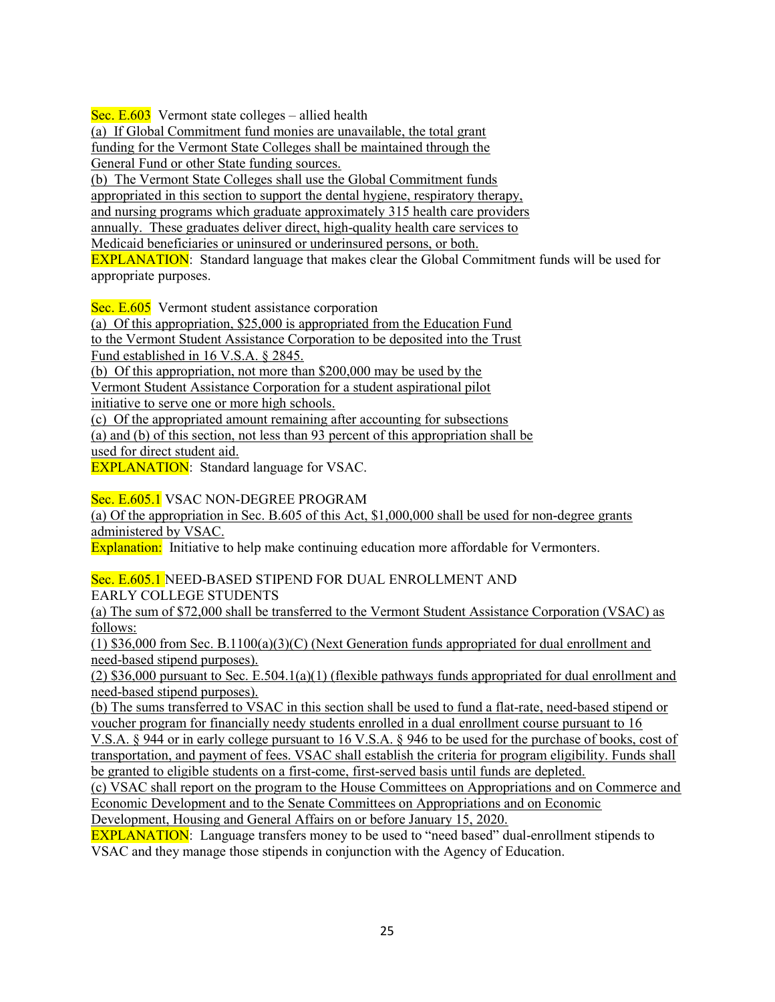Sec.  $E.603$  Vermont state colleges – allied health

(a) If Global Commitment fund monies are unavailable, the total grant funding for the Vermont State Colleges shall be maintained through the General Fund or other State funding sources. (b) The Vermont State Colleges shall use the Global Commitment funds appropriated in this section to support the dental hygiene, respiratory therapy, and nursing programs which graduate approximately 315 health care providers annually. These graduates deliver direct, high-quality health care services to Medicaid beneficiaries or uninsured or underinsured persons, or both. EXPLANATION: Standard language that makes clear the Global Commitment funds will be used for appropriate purposes.

Sec. E.605 Vermont student assistance corporation

(a) Of this appropriation, \$25,000 is appropriated from the Education Fund

to the Vermont Student Assistance Corporation to be deposited into the Trust

Fund established in 16 V.S.A. § 2845.

(b) Of this appropriation, not more than \$200,000 may be used by the

Vermont Student Assistance Corporation for a student aspirational pilot

initiative to serve one or more high schools.

(c) Of the appropriated amount remaining after accounting for subsections

(a) and (b) of this section, not less than 93 percent of this appropriation shall be used for direct student aid.

EXPLANATION: Standard language for VSAC.

Sec. E.605.1 VSAC NON-DEGREE PROGRAM

(a) Of the appropriation in Sec. B.605 of this Act, \$1,000,000 shall be used for non-degree grants administered by VSAC.

Explanation: Initiative to help make continuing education more affordable for Vermonters.

Sec. E.605.1 NEED-BASED STIPEND FOR DUAL ENROLLMENT AND EARLY COLLEGE STUDENTS

(a) The sum of \$72,000 shall be transferred to the Vermont Student Assistance Corporation (VSAC) as follows:

(1) \$36,000 from Sec. B.1100(a)(3)(C) (Next Generation funds appropriated for dual enrollment and need-based stipend purposes).

(2) \$36,000 pursuant to Sec. E.504.1(a)(1) (flexible pathways funds appropriated for dual enrollment and need-based stipend purposes).

(b) The sums transferred to VSAC in this section shall be used to fund a flat-rate, need-based stipend or voucher program for financially needy students enrolled in a dual enrollment course pursuant to 16

V.S.A. § 944 or in early college pursuant to 16 V.S.A. § 946 to be used for the purchase of books, cost of transportation, and payment of fees. VSAC shall establish the criteria for program eligibility. Funds shall be granted to eligible students on a first-come, first-served basis until funds are depleted.

(c) VSAC shall report on the program to the House Committees on Appropriations and on Commerce and Economic Development and to the Senate Committees on Appropriations and on Economic

Development, Housing and General Affairs on or before January 15, 2020.

EXPLANATION: Language transfers money to be used to "need based" dual-enrollment stipends to VSAC and they manage those stipends in conjunction with the Agency of Education.